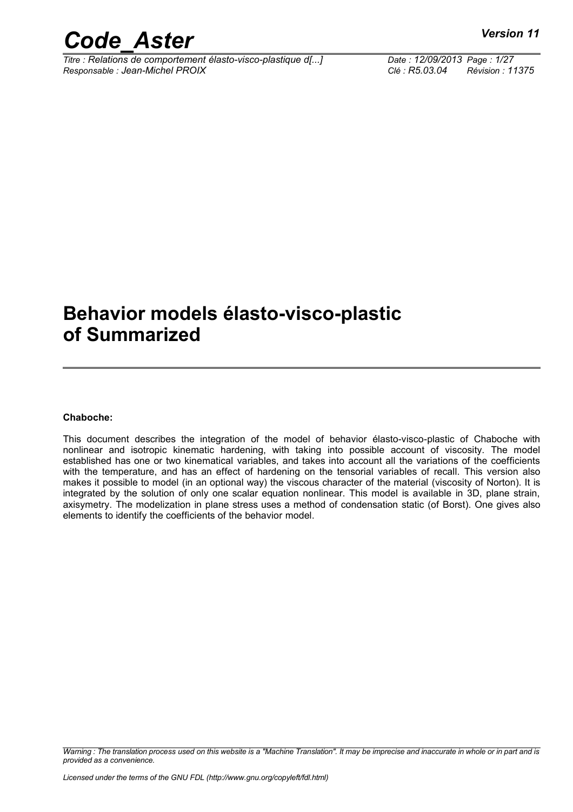*Titre : Relations de comportement élasto-visco-plastique d[...] Date : 12/09/2013 Page : 1/27 Responsable : Jean-Michel PROIX Clé : R5.03.04 Révision : 11375*

### **Behavior models élasto-visco-plastic of Summarized**

#### **Chaboche:**

This document describes the integration of the model of behavior élasto-visco-plastic of Chaboche with nonlinear and isotropic kinematic hardening, with taking into possible account of viscosity. The model established has one or two kinematical variables, and takes into account all the variations of the coefficients with the temperature, and has an effect of hardening on the tensorial variables of recall. This version also makes it possible to model (in an optional way) the viscous character of the material (viscosity of Norton). It is integrated by the solution of only one scalar equation nonlinear. This model is available in 3D, plane strain, axisymetry. The modelization in plane stress uses a method of condensation static (of Borst). One gives also elements to identify the coefficients of the behavior model.

*Warning : The translation process used on this website is a "Machine Translation". It may be imprecise and inaccurate in whole or in part and is provided as a convenience.*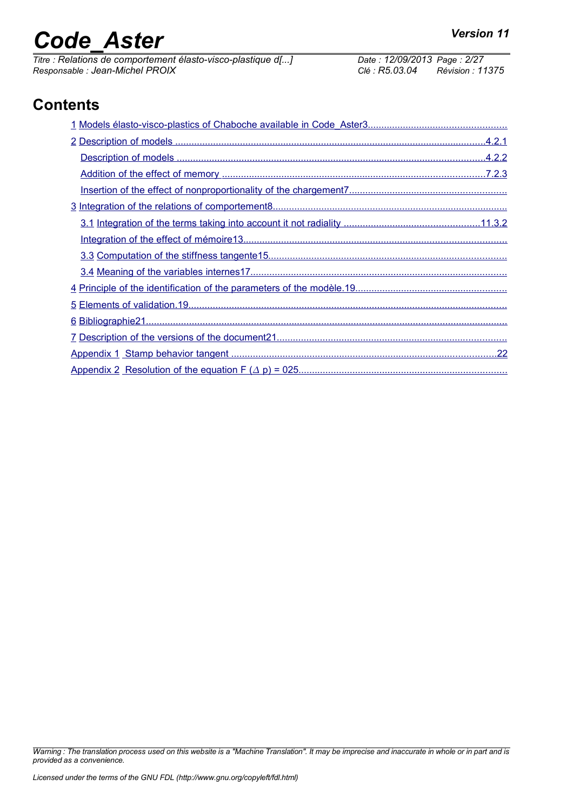# *Code\_Aster Version 11*<br> *Titre : Relations de comportement élasto-visco-plastique d[...]* Date : 12/09/2013 Page : 2/27

*Titre : Relations de comportement élasto-visco-plastique d[...] Date : 12/09/2013 Page : 2/27 Responsable : Jean-Michel PROIX Clé : R5.03.04 Révision : 11375*

### **Contents**

*Warning : The translation process used on this website is a "Machine Translation". It may be imprecise and inaccurate in whole or in part and is provided as a convenience.*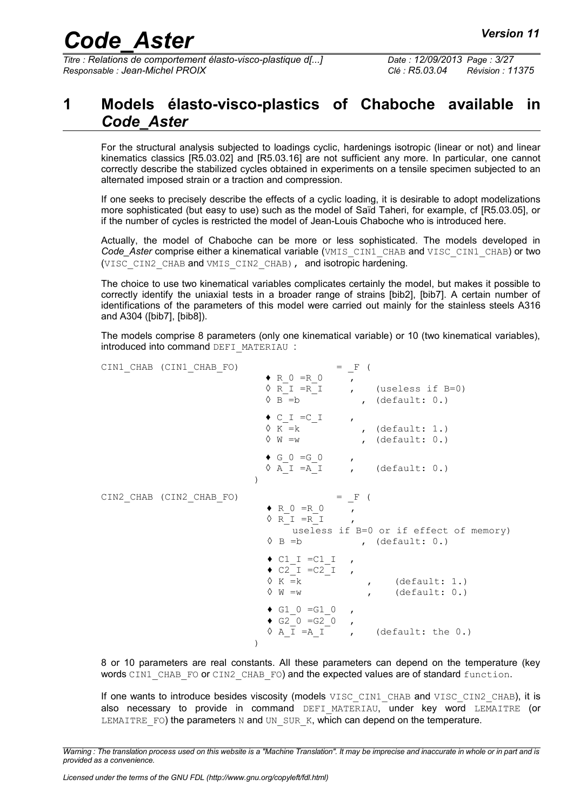*Titre : Relations de comportement élasto-visco-plastique d[...] Date : 12/09/2013 Page : 3/27 Responsable : Jean-Michel PROIX Clé : R5.03.04 Révision : 11375*

#### <span id="page-2-0"></span>**1 Models élasto-visco-plastics of Chaboche available in** *Code\_Aster*

For the structural analysis subjected to loadings cyclic, hardenings isotropic (linear or not) and linear kinematics classics [R5.03.02] and [R5.03.16] are not sufficient any more. In particular, one cannot correctly describe the stabilized cycles obtained in experiments on a tensile specimen subjected to an alternated imposed strain or a traction and compression.

If one seeks to precisely describe the effects of a cyclic loading, it is desirable to adopt modelizations more sophisticated (but easy to use) such as the model of Saïd Taheri, for example, cf [R5.03.05], or if the number of cycles is restricted the model of Jean-Louis Chaboche who is introduced here.

Actually, the model of Chaboche can be more or less sophisticated. The models developed in *Code\_Aster* comprise either a kinematical variable (VMIS\_CIN1\_CHAB and VISC\_CIN1\_CHAB) or two (VISC CIN2 CHAB and VMIS CIN2 CHAB), and isotropic hardening.

The choice to use two kinematical variables complicates certainly the model, but makes it possible to correctly identify the uniaxial tests in a broader range of strains [bib2], [bib7]. A certain number of identifications of the parameters of this model were carried out mainly for the stainless steels A316 and A304 ([bib7], [bib8]).

The models comprise 8 parameters (only one kinematical variable) or 10 (two kinematical variables), introduced into command DEFI\_MATERIAU :

| CIN1 CHAB (CIN1 CHAB FO) | $=$ F (<br>$\bullet$ R 0 = R 0                                                                                                                               |
|--------------------------|--------------------------------------------------------------------------------------------------------------------------------------------------------------|
|                          | $\mathbf{r}$<br>$\Diamond$ R I = R I , (useless if B=0)<br>$\Diamond$ B = b<br>, $(default: 0.)$                                                             |
|                          | $\bullet$ C I = C I<br>$\overline{ }$<br>$\Diamond$ K = k<br>, $(\text{default}: 1.)$<br>$\vee$ W $=w$<br>$,$ (default: $0.$ )                               |
|                          | $\bullet\text{ }G\text{ }0\text{ }=\text{G}\text{ }0\text{ \qquad ,}%$<br>$\Diamond$ A I =A I , (default: 0.)                                                |
| CIN2 CHAB (CIN2 CHAB FO) | $=$ F (<br>$\bullet$ R 0 = R 0<br>$\Diamond$ R I = R I<br>$\mathbf{r}$<br>useless if B=0 or if effect of memory)<br>$\Diamond$ B = b<br>$,$ (default: $0.$ ) |
|                          | $\bullet$ C1 I = C1 I ,<br>$\bullet$ C2 I = C2 I ,<br>$\Diamond$ K = k<br>$,$ (default: 1.)<br>$\vee$ W = w<br>(detault: 0.)                                 |
|                          | $\bullet$ G1 0 =G1 0<br>$\overline{ }$<br>$\bullet$ G2 0 =G2 0<br>$\mathbf{r}$<br>$\lozenge$ A I = A I ,<br>(default: the 0.)<br>$\lambda$                   |

8 or 10 parameters are real constants. All these parameters can depend on the temperature (key words CIN1 CHAB FO or CIN2 CHAB FO) and the expected values are of standard function.

If one wants to introduce besides viscosity (models VISC CIN1 CHAB and VISC CIN2 CHAB), it is also necessary to provide in command DEFI MATERIAU, under key word LEMAITRE (or LEMAITRE FO) the parameters  $N$  and UN  $SUR$  K, which can depend on the temperature.

*Warning : The translation process used on this website is a "Machine Translation". It may be imprecise and inaccurate in whole or in part and is provided as a convenience.*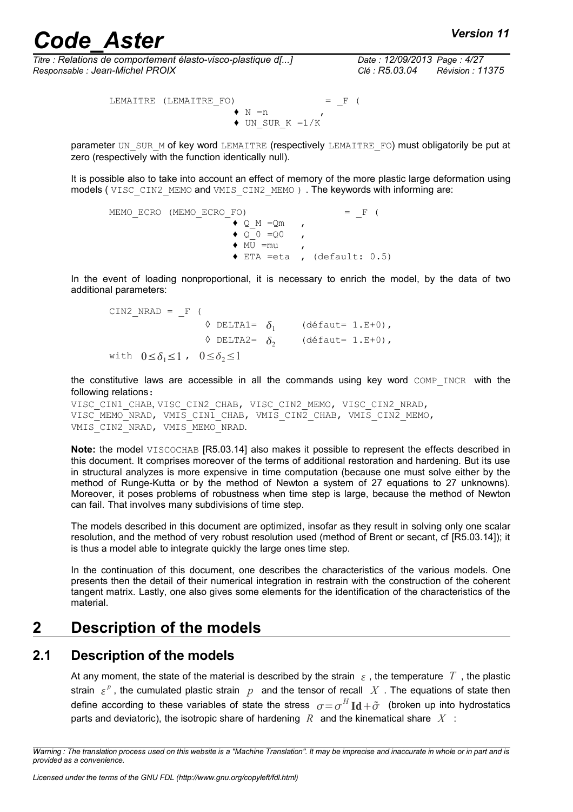*Titre : Relations de comportement élasto-visco-plastique d[...] Date : 12/09/2013 Page : 4/27 Responsable : Jean-Michel PROIX Clé : R5.03.04 Révision : 11375*

LEMAITRE (LEMAITRE\_FO) = F (  $\bullet$  N =n  $\bullet$  UN SUR K =1/K

parameter UN\_SUR\_M of key word LEMAITRE (respectively LEMAITRE\_FO) must obligatorily be put at zero (respectively with the function identically null).

It is possible also to take into account an effect of memory of the more plastic large deformation using models ( VISC\_CIN2\_MEMO and VMIS\_CIN2\_MEMO ) . The keywords with informing are:

```
MEMO ECRO (MEMO ECRO FO) = F (
                         \blacklozenge Q M =Qm ,
                         \bullet Q_{-}^{-}0 = Q_{0} ,
                         \bullet MU =mu ,
                         \triangle ETA =eta , (default: 0.5)
```
In the event of loading nonproportional, it is necessary to enrich the model, by the data of two additional parameters:

 $CIN2_NRAD = F ($  $\Diamond$  DELTA1=  $\delta_1$  (défaut= 1.E+0),  $\Diamond$  DELTA2=  $\delta_2$  (défaut= 1.E+0), with  $0 \le \delta_1 \le 1$ ,  $0 \le \delta_2 \le 1$ 

the constitutive laws are accessible in all the commands using key word COMP INCR with the following relations:

VISC CIN1 CHAB, VISC CIN2 CHAB, VISC CIN2 MEMO, VISC CIN2 NRAD, VISC<sup>\_</sup>MEMO\_NRAD, VMIS CIN1 CHAB, VMIS CIN2 CHAB, VMIS CIN2 MEMO, VMIS\_CIN2\_NRAD, VMIS\_MEMO\_NRAD.

**Note:** the model VISCOCHAB [R5.03.14] also makes it possible to represent the effects described in this document. It comprises moreover of the terms of additional restoration and hardening. But its use in structural analyzes is more expensive in time computation (because one must solve either by the method of Runge-Kutta or by the method of Newton a system of 27 equations to 27 unknowns). Moreover, it poses problems of robustness when time step is large, because the method of Newton can fail. That involves many subdivisions of time step.

The models described in this document are optimized, insofar as they result in solving only one scalar resolution, and the method of very robust resolution used (method of Brent or secant, cf [R5.03.14]); it is thus a model able to integrate quickly the large ones time step.

In the continuation of this document, one describes the characteristics of the various models. One presents then the detail of their numerical integration in restrain with the construction of the coherent tangent matrix. Lastly, one also gives some elements for the identification of the characteristics of the material.

#### <span id="page-3-1"></span>**2 Description of the models**

#### **2.1 Description of the models**

<span id="page-3-0"></span>At any moment, the state of the material is described by the strain  $\epsilon$ , the temperature T, the plastic strain  $\{\varepsilon^p\}$ , the cumulated plastic strain  $\|p\|$  and the tensor of recall  $|X|$ . The equations of state then define according to these variables of state the stress  $\sigma \! = \! \sigma^H \text{Id} \! + \! \tilde{\sigma}$  (broken up into hydrostatics parts and deviatoric), the isotropic share of hardening *R* and the kinematical share *X* :

*Warning : The translation process used on this website is a "Machine Translation". It may be imprecise and inaccurate in whole or in part and is provided as a convenience.*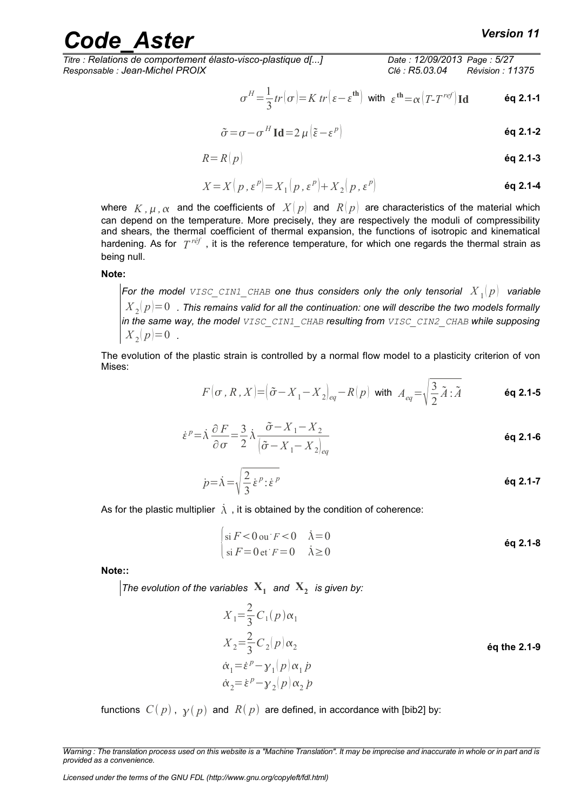$$
\sigma^H \!=\! \frac{1}{3} tr \big( \sigma \big) \! \! = \! K \, tr \big( \, \varepsilon \! - \! \varepsilon^{\text{th}} \big) \; \text{ with } \; \varepsilon^{\text{th}} \!=\! \alpha \big( T \! - \! T^{\text{ref}} \big) \text{Id} \qquad \qquad \text{\'eq 2.1-1}
$$

$$
\tilde{\sigma} = \sigma - \sigma^H \operatorname{Id} = 2 \mu \left( \tilde{\varepsilon} - \varepsilon^p \right)
$$

$$
R = R(p) \tag{6q 2.1-3}
$$

$$
X = X\left(p, \varepsilon^p\right) = X_1\left(p, \varepsilon^p\right) + X_2\left(p, \varepsilon^p\right)
$$
\n**6q 2.1-4**

where  $\ K$  ,  $\mu$  ,  $\alpha$  and the coefficients of  $\ X(\ p)$  and  $\ R(\ p)$  are characteristics of the material which can depend on the temperature. More precisely, they are respectively the moduli of compressibility and shears, the thermal coefficient of thermal expansion, the functions of isotropic and kinematical hardening. As for  $T^{\textit{ref}}$  , it is the reference temperature, for which one regards the thermal strain as being null.

#### **Note:**

For the model  $\text{\text{visc\_CINI\_CHAB}}$  one thus considers only the only tensorial  $\left| {X_{\rm{1}}} \right|p\right|$  variable  ${X}_{\,2}(\,p)\!=\!0\,\,$  . This remains valid for all the continuation: one will describe the two models formally *in the same way, the model VISC\_CIN1\_CHAB resulting from VISC\_CIN2\_CHAB while supposing*  $X_2(p)=0$ .

The evolution of the plastic strain is controlled by a normal flow model to a plasticity criterion of von Mises:

$$
F(\sigma, R, X) = (\tilde{\sigma} - X_1 - X_2)_{eq} - R(p) \text{ with } A_{eq} = \sqrt{\frac{3}{2}\tilde{A} : \tilde{A}}
$$
 6q 2.1-5

$$
\dot{\varepsilon}^p = \dot{\lambda} \frac{\partial F}{\partial \sigma} = \frac{3}{2} \dot{\lambda} \frac{\tilde{\sigma} - X_1 - X_2}{\left[\tilde{\sigma} - X_1 - X_2\right]_{eq}}
$$

$$
\dot{p} = \dot{\lambda} = \sqrt{\frac{2}{3} \dot{\varepsilon}^p : \dot{\varepsilon}^p}
$$

As for the plastic multiplier  $\lambda$ , it is obtained by the condition of coherence:

$$
\begin{cases}\n\sin F < 0 \text{ ou } F < 0 \\
\sin F = 0 \text{ et } F = 0 \quad \lambda \ge 0\n\end{cases}
$$
\n
$$
\begin{cases}\n\text{\'eq 2.1-8} \\
\text{Aq 2.1-8}\n\end{cases}
$$

**Note::**

*The evolution of the variables*  $\mathbf{X}_1$  and  $\mathbf{X}_2$  is given by:

$$
X_1 = \frac{2}{3} C_1(p) \alpha_1
$$
  
\n
$$
X_2 = \frac{2}{3} C_2(p) \alpha_2
$$
  
\n
$$
\dot{\alpha}_1 = \dot{\epsilon}^p - \gamma_1(p) \alpha_1 p
$$
  
\n
$$
\dot{\alpha}_2 = \dot{\epsilon}^p - \gamma_2(p) \alpha_2 p
$$
  
\n**(a)**  $\dot{\alpha}_1 = \dot{\epsilon}^p - \gamma_2(p) \alpha_2 p$ 

functions  $C(p)$ ,  $\gamma(p)$  and  $R(p)$  are defined, in accordance with [bib2] by:

*Warning : The translation process used on this website is a "Machine Translation". It may be imprecise and inaccurate in whole or in part and is provided as a convenience.*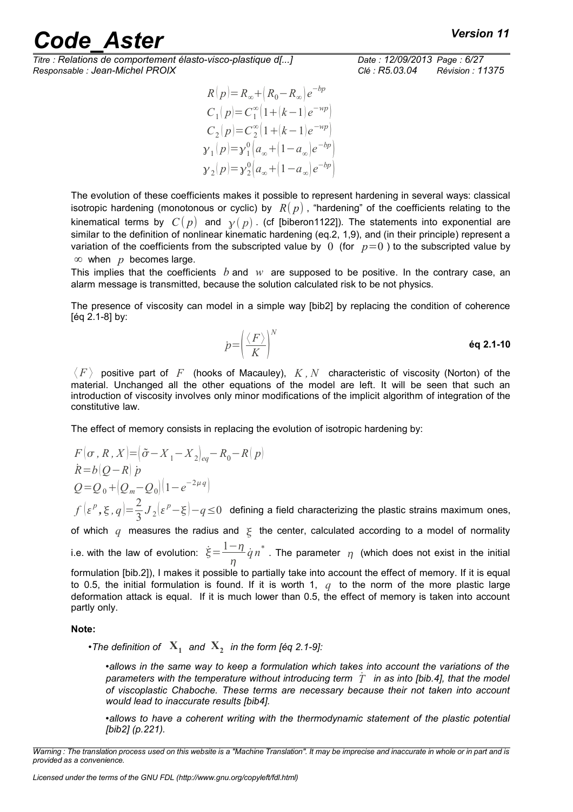*Titre : Relations de comportement élasto-visco-plastique d[...] Date : 12/09/2013 Page : 6/27 Responsable : Jean-Michel PROIX Clé : R5.03.04 Révision : 11375*

$$
\begin{array}{c} R(p) {=} R_\infty {+}\big(R_0 {-} R_\infty\big) e^{-bp} \\ C_1(p) {=} C_1^\infty \big(1 {+} \big(k - 1\big) e^{-wp}\big) \\ C_2(p) {=} C_2^\infty \big(1 {+} \big(k - 1\big) e^{-wp}\big) \\ \gamma_1(p) {=} \gamma_1^0 \big(a_\infty {+} \big(1 {-} a_\infty\big) e^{-bp}\big) \\ \gamma_2(p) {=} \gamma_2^0 \big(a_\infty {+} \big(1 {-} a_\infty\big) e^{-bp}\big) \end{array}
$$

The evolution of these coefficients makes it possible to represent hardening in several ways: classical isotropic hardening (monotonous or cyclic) by  $R(p)$ , "hardening" of the coefficients relating to the kinematical terms by  $C(p)$  and  $\gamma(p)$ . (cf [biberon1[122\]](#page-21-2)). The statements into exponential are similar to the definition of nonlinear kinematic hardening (eq.2, 1,9), and (in their principle) represent a variation of the coefficients from the subscripted value by  $\theta$  (for  $p=0$ ) to the subscripted value by ∞ when *p* becomes large.

This implies that the coefficients *b* and *w* are supposed to be positive. In the contrary case, an alarm message is transmitted, because the solution calculated risk to be not physics.

The presence of viscosity can model in a simple way [bib2] by replacing the condition of coherence [éq 2.1-8] by:

$$
p = \left(\frac{\langle F \rangle}{K}\right)^N
$$

 $\langle F \rangle$  positive part of F (hooks of Macauley),  $K$ ,  $N$  characteristic of viscosity (Norton) of the material. Unchanged all the other equations of the model are left. It will be seen that such an introduction of viscosity involves only minor modifications of the implicit algorithm of integration of the constitutive law.

The effect of memory consists in replacing the evolution of isotropic hardening by:

 $F(\sigma, R, X) = (\tilde{\sigma} - X_1 - X_2)_{eq} - R_0 - R(p)$  $R = b \left[ Q - R \right]$  *p*  $Q = Q_0 + (Q_m - Q_0)(1 - e^{-2\mu q})$  $f\left(\varepsilon^p,\xi,q\right)=\frac{2}{2}$  $\frac{2}{3}J_2\bigl|\varepsilon^p-\xi\bigr|-q \leq 0$  defining a field characterizing the plastic strains maximum ones, of which  $q$  measures the radius and  $\xi$  the center, calculated according to a model of normality i.e. with the law of evolution:  $\dot{\xi}\!=\!\frac{1-\eta}{\eta}$  $\eta$  $\dot{q}n^*$  . The parameter  $\eta$  (which does not exist in the initial formulation [bib.2]), I makes it possible to partially take into account the effect of memory. If it is equal to 0.5, the initial formulation is found. If it is worth 1, *q* to the norm of the more plastic large deformation attack is equal. If it is much lower than 0.5, the effect of memory is taken into account partly only.

#### **Note:**

•*The definition of* **X<sup>1</sup>** *and* **X<sup>2</sup>** *in the form [éq 2.1-9]:*

•*allows in the same way to keep a formulation which takes into account the variations of the parameters with the temperature without introducing term T*˙ *in as into [bib.4], that the model of viscoplastic Chaboche. These terms are necessary because their not taken into account would lead to inaccurate results [bib4].*

•*allows to have a coherent writing with the thermodynamic statement of the plastic potential [bib2] (p.221).*

*Warning : The translation process used on this website is a "Machine Translation". It may be imprecise and inaccurate in whole or in part and is provided as a convenience.*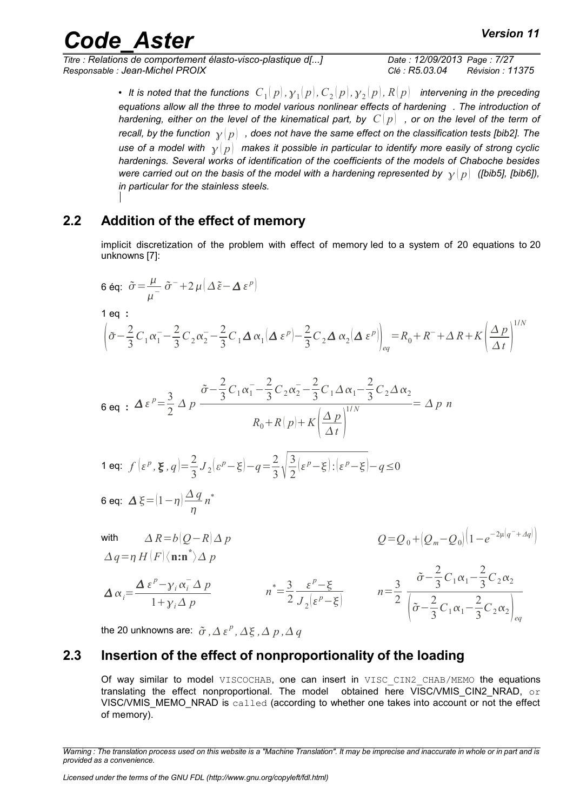*Titre : Relations de comportement élasto-visco-plastique d[...] Date : 12/09/2013 Page : 7/27 Responsable : Jean-Michel PROIX Clé : R5.03.04 Révision : 11375*

• It is noted that the functions  $\; C_1(\,p),{\cal y}_1(\,p), C_2(\,p),{\cal y}_2(\,p), R(\,p)\;$  intervening in the preceding *equations allow all the three to model various nonlinear effects of hardening . The introduction of hardening, either on the level of the kinematical part, by*  $|C|p|$  *, or on the level of the term of recall, by the function*  $\gamma(p)$ , does not have the same effect on the classification tests [bib2]. The *use of a model with*  $\gamma|p|$  makes it possible in particular to identify more easily of strong cyclic *hardenings. Several works of identification of the coefficients of the models of Chaboche besides were carried out on the basis of the model with a hardening represented by*  $\gamma |p|$  ([bib5], [bib6]), *in particular for the stainless steels.* 

#### **2.2 Addition of the effect of memory**

<span id="page-6-1"></span>implicit discretization of the problem with effect of memory led to a system of 20 equations to 20 unknowns [7]:

6 eq: 
$$
\tilde{\sigma} = \frac{\mu}{\mu^-} \tilde{\sigma}^- + 2 \mu (\Delta \tilde{\epsilon} - \Delta \epsilon^p)
$$
  
\n1 eq :  
\n
$$
\left( \tilde{\sigma} - \frac{2}{3} C_1 \alpha_1^- - \frac{2}{3} C_2 \alpha_2^- - \frac{2}{3} C_1 \Delta \alpha_1 (\Delta \epsilon^p) - \frac{2}{3} C_2 \Delta \alpha_2 (\Delta \epsilon^p) \right)_{eq} = R_0 + R^- + \Delta R + K \left( \frac{\Delta p}{\Delta t} \right)^{1/N}
$$

$$
6 \text{ eq } : \Delta \, \varepsilon^p = \frac{3}{2} \, \Delta \, p \, \frac{\tilde{\sigma} - \frac{2}{3} \, C_1 \alpha_1^- - \frac{2}{3} \, C_2 \alpha_2^- - \frac{2}{3} \, C_1 \, \Delta \, \alpha_1 - \frac{2}{3} \, C_2 \, \Delta \, \alpha_2}{R_0 + R \, (p) + K \, \left(\frac{\Delta \, p}{\Delta \, t}\right)^{1/N}} = \Delta \, p \, n
$$

$$
\text{1 eq: } f\left(\varepsilon^p, \xi, q\right) = \frac{2}{3} J_2 \left(\varepsilon^p - \xi\right) - q = \frac{2}{3} \sqrt{\frac{3}{2} \left(\varepsilon^p - \xi\right) : \left(\varepsilon^p - \xi\right)} - q \le 0
$$

$$
6 \text{ eq: } \Delta \xi = (1 - \eta) \frac{\Delta q}{\eta} n^*
$$

with 
$$
\Delta R = b(Q-R)\Delta p
$$
  
\n
$$
\Delta q = \eta H(F) \langle \mathbf{n} : \mathbf{n}^* \rangle \Delta p
$$
\n
$$
\Delta \alpha_i = \frac{\Delta \varepsilon^p - \gamma_i \alpha_i^{\top} \Delta p}{1 + \gamma_i \Delta p}
$$
\n
$$
n^* = \frac{3}{2} \frac{\varepsilon^p - \xi}{J_2(\varepsilon^p - \xi)}
$$
\n
$$
n = \frac{3}{2} \frac{\tilde{\sigma} - \frac{2}{3} C_1 \alpha_1 - \frac{2}{3} C_2 \alpha_2}{\left[\tilde{\sigma} - \frac{2}{3} C_1 \alpha_1 - \frac{2}{3} C_2 \alpha_2\right]_{eq}}
$$

<span id="page-6-0"></span>the 20 unknowns are:  $\tilde{\sigma}$  ,  $\varDelta$   $\varepsilon^p$  ,  $\varDelta$   $\xi$  ,  $\varDelta$   $p$  ,  $\varDelta$   $q$ 

#### **2.3 Insertion of the effect of nonproportionality of the loading**

Of way similar to model VISCOCHAB, one can insert in VISC CIN2 CHAB/MEMO the equations translating the effect nonproportional. The model obtained here VISC/VMIS CIN2 NRAD,  $\circ$ r VISC/VMIS\_MEMO\_NRAD is called (according to whether one takes into account or not the effect of memory).

*Warning : The translation process used on this website is a "Machine Translation". It may be imprecise and inaccurate in whole or in part and is provided as a convenience.*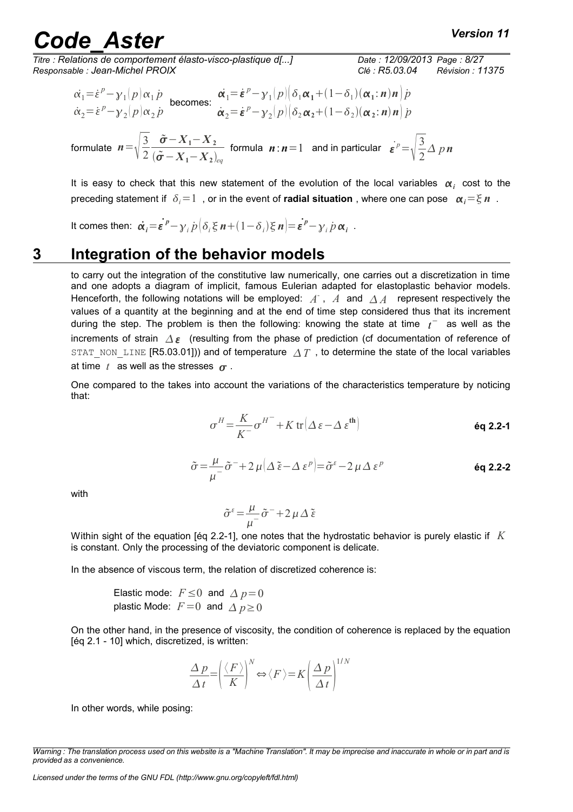## and **Code Aster** *Code* **Aster Code Aster** *Code**Code**Code**Code**Code**Code**Code**Code**Code**Code**Code**Code**Code**Code**Code**Code**Code**Code**Code**Code**Code**Code**Code**Code**Code*

*Titre : Relations de comportement élasto-visco-plastique d[...] Date : 12/09/2013 Page : 8/27 Responsable : Jean-Michel PROIX Clé : R5.03.04 Révision : 11375*

2

2

$$
\vec{\alpha}_1 = \dot{\varepsilon}^p - \gamma_1(p)\alpha_1 \dot{p} \text{ becomes: } \vec{\alpha}_1 = \dot{\varepsilon}^p - \gamma_1(p)[\delta_1 \alpha_1 + (1 - \delta_1)(\alpha_1; n) n] \dot{p}
$$
\n
$$
\dot{\alpha}_2 = \dot{\varepsilon}^p - \gamma_2(p)\alpha_2 \dot{p} \qquad \dot{\alpha}_2 = \dot{\varepsilon}^p - \gamma_2(p)[\delta_2 \alpha_2 + (1 - \delta_2)(\alpha_2; n) n] \dot{p}
$$
\n
$$
\text{formula } n = \sqrt{\frac{3}{2} \frac{\tilde{\sigma} - X_1 - X_2}{(\tilde{\sigma} - X_1 - X_2)_{eq}}} \text{ formula } n : n = 1 \text{ and in particular } \dot{\varepsilon}^p = \sqrt{\frac{3}{2}} \Delta p n
$$

It is easy to check that this new statement of the evolution of the local variables  $\alpha_i$  cost to the preceding statement if  $\delta_i=1$ , or in the event of **radial situation**, where one can pose  $\alpha_i=\xi n$ .

It comes then:  $\dot{\alpha_i} = \dot{\epsilon}^p - \gamma_i p \big( \delta_i \xi n + (1 - \delta_i) \xi n \big) = \dot{\epsilon}^p - \gamma_i p \alpha_i$ .

#### **3 Integration of the behavior models**

 $(\tilde{\boldsymbol{\sigma}}$  −  $X$ <sub>1</sub> −  $X$ <sub>2</sub>)<sub>eq</sub>

<span id="page-7-0"></span>to carry out the integration of the constitutive law numerically, one carries out a discretization in time and one adopts a diagram of implicit, famous Eulerian adapted for elastoplastic behavior models. Henceforth, the following notations will be employed:  $\overline{A}$ ,  $\overline{A}$  and  $\overline{\Delta A}$  represent respectively the values of a quantity at the beginning and at the end of time step considered thus that its increment during the step. The problem is then the following: knowing the state at time  $t^-$  as well as the increments of strain  $\Delta \varepsilon$  (resulting from the phase of prediction (cf documentation of reference of STAT\_NON\_LINE [R5.03.01])) and of temperature  $\Delta T$  , to determine the state of the local variables at time  $t$  as well as the stresses  $\sigma$ .

One compared to the takes into account the variations of the characteristics temperature by noticing that:

$$
\sigma^H = \frac{K}{K^-} \sigma^{H^-} + K \operatorname{tr} \left( \Delta \, \varepsilon - \Delta \, \varepsilon^{\text{th}} \right) \tag{6q 2.2-1}
$$

$$
\tilde{\sigma} = \frac{\mu}{\mu^{-}} \tilde{\sigma}^{-} + 2 \mu \left( \Delta \tilde{\epsilon} - \Delta \epsilon^{p} \right) = \tilde{\sigma}^{\epsilon} - 2 \mu \Delta \epsilon^{p}
$$

with

$$
\tilde{\sigma}^{\varepsilon} = \frac{\mu}{\mu^{-}} \tilde{\sigma}^{-} + 2 \mu \Delta \tilde{\varepsilon}
$$

Within sight of the equation [éq 2.2-1], one notes that the hydrostatic behavior is purely elastic if *K* is constant. Only the processing of the deviatoric component is delicate.

In the absence of viscous term, the relation of discretized coherence is:

Elastic mode:  $F \leq 0$  and  $\Delta p = 0$ plastic Mode:  $F=0$  and  $\Delta p\geq 0$ 

On the other hand, in the presence of viscosity, the condition of coherence is replaced by the equation [éq 2.1 - 10] which, discretized, is written:

$$
\frac{\Delta p}{\Delta t} = \left(\frac{\langle F \rangle}{K}\right)^N \Leftrightarrow \langle F \rangle = K \left(\frac{\Delta p}{\Delta t}\right)^{1/N}
$$

In other words, while posing:

*Warning : The translation process used on this website is a "Machine Translation". It may be imprecise and inaccurate in whole or in part and is provided as a convenience.*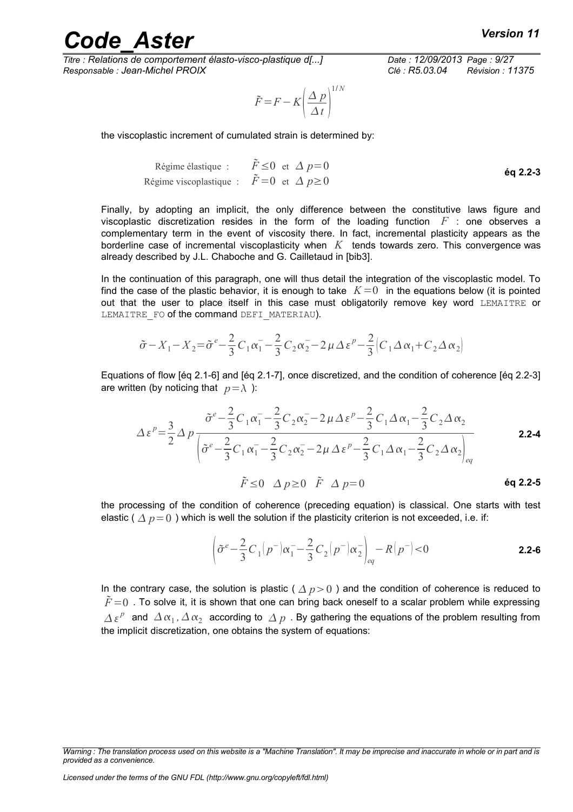*Titre : Relations de comportement élasto-visco-plastique d[...] Date : 12/09/2013 Page : 9/27 Responsable : Jean-Michel PROIX Clé : R5.03.04 Révision : 11375*

$$
\tilde{F} = F - K \left(\frac{\Delta p}{\Delta t}\right)^{1/N}
$$

the viscoplastic increment of cumulated strain is determined by:

$$
\begin{array}{ll}\n\text{Régime élastique} : & \tilde{F} \leq 0 \text{ et } \Delta p = 0 \\
\text{Régime viscoplastique} : & \tilde{F} = 0 \text{ et } \Delta p \geq 0\n\end{array}
$$
\n
$$
\begin{array}{ll}\n\text{Eq 2.2-3} \\
\text{Eq 2.2-3} \\
\text{Eq 3.2-4} \\
\text{Eq 4.3} \\
\text{Eq 5.4} \\
\text{Eq 5.5} \\
\text{Eq 6.5} \\
\text{Eq 6.6} \\
\text{Eq 7.6} \\
\text{Eq 7.7} \\
\text{Eq 7.7} \\
\text{Eq 8.7} \\
\text{Eq 8.8} \\
\text{Eq 8.8} \\
\text{Eq 8.8} \\
\text{Eq 8.8} \\
\text{Eq 8.8} \\
\text{Eq 8.8} \\
\text{Eq 8.8} \\
\text{Eq 8.8} \\
\text{Eq 8.8} \\
\text{Eq 8.8} \\
\text{Eq 8.8} \\
\text{Eq 8.8} \\
\text{Eq 8.8} \\
\text{Eq 8.8} \\
\text{Eq 8.8} \\
\text{Eq 8.8} \\
\text{Eq 8.8} \\
\text{Eq 8.8} \\
\text{Eq 8.8} \\
\text{Eq 8.8} \\
\text{Eq 8.8} \\
\text{Eq 8.8} \\
\text{Eq 8.8} \\
\text{Eq 8.8} \\
\text{Eq 8.8} \\
\text{Eq 8.8} \\
\text{Eq 8.8} \\
\text{Eq 8.8} \\
\text{Eq 8.8} \\
\text{Eq 8.8} \\
\text{Eq 8.8} \\
\text{Eq 8.8} \\
\text{Eq 8.8} \\
\text{Eq 8.8} \\
\text{Eq 8.8} \\
\text{Eq 8.8} \\
\text{Eq 8.8} \\
\text{Eq 8.8} \\
\text{Eq 8.8} \\
\text{Eq 8.8} \\
\text{Eq 8.8} \\
\text{Eq 8.8} \\
\text{Eq 8.8} \\
\text{Eq 8.8} \\
\text{Eq 8.8} \\
\text{Eq 8.8} \\
\text{Eq 8.8} \\
\text{Eq 8.8} \\
\text{Eq 8.8} \\
\text{Eq 8.8} \\
\text{Eq 8.8} \\
\text{Eq 8.8} \\
\text{Eq 8.8} \\
\text{Eq
$$

Finally, by adopting an implicit, the only difference between the constitutive laws figure and viscoplastic discretization resides in the form of the loading function *F* : one observes a complementary term in the event of viscosity there. In fact, incremental plasticity appears as the borderline case of incremental viscoplasticity when *K* tends towards zero. This convergence was already described by J.L. Chaboche and G. Cailletaud in [bib3].

In the continuation of this paragraph, one will thus detail the integration of the viscoplastic model. To find the case of the plastic behavior, it is enough to take  $K=0$  in the equations below (it is pointed out that the user to place itself in this case must obligatorily remove key word LEMAITRE or LEMAITRE FO of the command DEFI\_MATERIAU).

$$
\tilde{\sigma} - X_1 - X_2 = \tilde{\sigma}^e - \frac{2}{3} C_1 \alpha_1 - \frac{2}{3} C_2 \alpha_2 - 2 \mu \Delta \epsilon^p - \frac{2}{3} (C_1 \Delta \alpha_1 + C_2 \Delta \alpha_2)
$$

Equations of flow [éq 2.1-6] and [éq 2.1-7], once discretized, and the condition of coherence [éq 2.2-3] are written (by noticing that  $p = \lambda$ ):

$$
\Delta \varepsilon^{p} = \frac{3}{2} \Delta p \frac{\tilde{\sigma}^{e} - \frac{2}{3} C_{1} \alpha_{1}^{-} - \frac{2}{3} C_{2} \alpha_{2}^{-} - 2 \mu \Delta \varepsilon^{p} - \frac{2}{3} C_{1} \Delta \alpha_{1}^{-} - \frac{2}{3} C_{2} \Delta \alpha_{2}}{\left[ \tilde{\sigma}^{e} - \frac{2}{3} C_{1} \alpha_{1}^{-} - \frac{2}{3} C_{2} \alpha_{2}^{-} - 2 \mu \Delta \varepsilon^{p} - \frac{2}{3} C_{1} \Delta \alpha_{1}^{-} - \frac{2}{3} C_{2} \Delta \alpha_{2} \right]_{eq}}
$$
  
2.2-4  
 $\tilde{F} \le 0 \Delta p \ge 0 \tilde{F} \Delta p = 0$ 

the processing of the condition of coherence (preceding equation) is classical. One starts with test elastic ( $\Delta p=0$ ) which is well the solution if the plasticity criterion is not exceeded, i.e. if:

$$
\left(\tilde{\sigma}^{e} - \frac{2}{3}C_{1}(p^{-})\alpha_{1}^{-} - \frac{2}{3}C_{2}(p^{-})\alpha_{2}^{-}\right)_{eq} - R(p^{-}) < 0
$$
 2.2-6

In the contrary case, the solution is plastic ( $\Delta p>0$ ) and the condition of coherence is reduced to  $F=0$ . To solve it, it is shown that one can bring back oneself to a scalar problem while expressing  $\Delta \, \epsilon^p \,$  and  $\, \Delta \, \alpha_1$ ,  $\Delta \, \alpha_2 \,$  according to  $\, \Delta \, p \,$  . By gathering the equations of the problem resulting from the implicit discretization, one obtains the system of equations:

*Warning : The translation process used on this website is a "Machine Translation". It may be imprecise and inaccurate in whole or in part and is provided as a convenience.*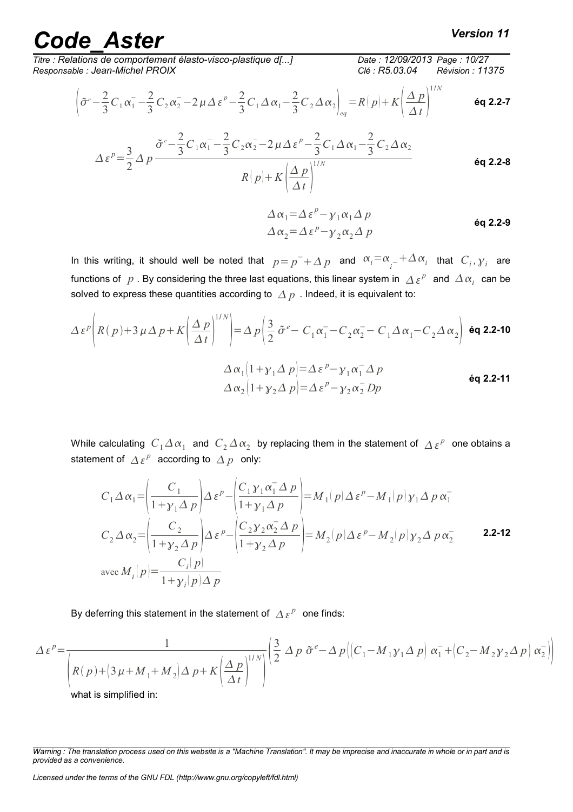*Titre : Relations de comportement élasto-visco-plastique d[...] Date : 12/09/2013 Page : 10/27 Responsable : Jean-Michel PROIX Clé : R5.03.04 Révision : 11375*

$$
\left(\tilde{\sigma}^e - \frac{2}{3}C_1\alpha_1 - \frac{2}{3}C_2\alpha_2 - 2\mu\Delta\varepsilon^p - \frac{2}{3}C_1\Delta\alpha_1 - \frac{2}{3}C_2\Delta\alpha_2\right)_{eq} = R(p) + K\left(\frac{\Delta p}{\Delta t}\right)^{1/N}
$$
 6q 2.2-7

$$
\Delta \varepsilon^{p} = \frac{3}{2} \Delta p \frac{\tilde{\sigma}^{e} - \frac{2}{3} C_{1} \alpha_{1}^{-} - \frac{2}{3} C_{2} \alpha_{2}^{-} - 2 \mu \Delta \varepsilon^{p} - \frac{2}{3} C_{1} \Delta \alpha_{1}^{-} - \frac{2}{3} C_{2} \Delta \alpha_{2}}{R(p) + K \left(\frac{\Delta p}{\Delta t}\right)^{1/N}}
$$

$$
\Delta \alpha_1 = \Delta \varepsilon^p - \gamma_1 \alpha_1 \Delta p
$$
  
\n
$$
\Delta \alpha_2 = \Delta \varepsilon^p - \gamma_2 \alpha_2 \Delta p
$$

In this writing, it should well be noted that  $p = p^- + \Delta p$  and  $\alpha_i = \alpha_{i-} + \Delta \alpha_i$  that  $C_i$ ,  $\gamma_i$  are functions of  $|p|$  . By considering the three last equations, this linear system in  $|\varDelta|_\mathcal{E}P^p|$  and  $|\varDelta|_\mathcal{X}_i|$  can be solved to express these quantities according to  $\Delta p$ . Indeed, it is equivalent to:

$$
\Delta \varepsilon^{p} \left( R(p) + 3 \mu \Delta p + K \left( \frac{\Delta p}{\Delta t} \right)^{1/N} \right) = \Delta p \left( \frac{3}{2} \tilde{\sigma}^{e} - C_{1} \alpha_{1}^{-} - C_{2} \alpha_{2}^{-} - C_{1} \Delta \alpha_{1} - C_{2} \Delta \alpha_{2} \right) \text{ 6q 2.2-10}
$$
  

$$
\Delta \alpha_{1} \left( 1 + \gamma_{1} \Delta p \right) = \Delta \varepsilon^{p} - \gamma_{1} \alpha_{1}^{-} \Delta p
$$

$$
\Delta \alpha_{2} \left( 1 + \gamma_{2} \Delta p \right) = \Delta \varepsilon^{p} - \gamma_{2} \alpha_{2}^{-} D p
$$
 6q 2.2-11

While calculating  $C_1\Delta\alpha_1^-$  and  $C_2\Delta\alpha_2^+$  by replacing them in the statement of  $\Delta\,\varepsilon^p^-$  one obtains a statement of  $\Delta \varepsilon^{p}$  according to  $\Delta p$  only:

$$
C_1 \Delta \alpha_1 = \left(\frac{C_1}{1 + y_1 \Delta p}\right) \Delta \varepsilon^p - \left(\frac{C_1 y_1 \alpha_1^2 \Delta p}{1 + y_1 \Delta p}\right) = M_1(p) \Delta \varepsilon^p - M_1(p) y_1 \Delta p \alpha_1^2
$$
  
\n
$$
C_2 \Delta \alpha_2 = \left(\frac{C_2}{1 + y_2 \Delta p}\right) \Delta \varepsilon^p - \left(\frac{C_2 y_2 \alpha_2^2 \Delta p}{1 + y_2 \Delta p}\right) = M_2(p) \Delta \varepsilon^p - M_2(p) y_2 \Delta p \alpha_2^2
$$
  
\n
$$
\text{avec } M_i(p) = \frac{C_i(p)}{1 + y_i(p) \Delta p}
$$

By deferring this statement in the statement of  $\Delta \, \varepsilon^{\, p} \;$  one finds:

$$
\Delta \varepsilon^{p} = \frac{1}{\left(R(p) + \left(3\,\mu + M_{1} + M_{2}\right)\Delta\,p + K\left(\frac{\Delta\,p}{\Delta\,t}\right)^{1/N}\right)} \left(\frac{3}{2}\,\Delta\,p\,\tilde{\sigma}^{e} - \Delta\,p\left(\left(C_{1} - M_{1}\gamma_{1}\Delta\,p\right)\alpha_{1}^{-} + \left(C_{2} - M_{2}\gamma_{2}\Delta\,p\right)\alpha_{2}^{-}\right)\right)
$$

what is simplified in:

*Warning : The translation process used on this website is a "Machine Translation". It may be imprecise and inaccurate in whole or in part and is provided as a convenience.*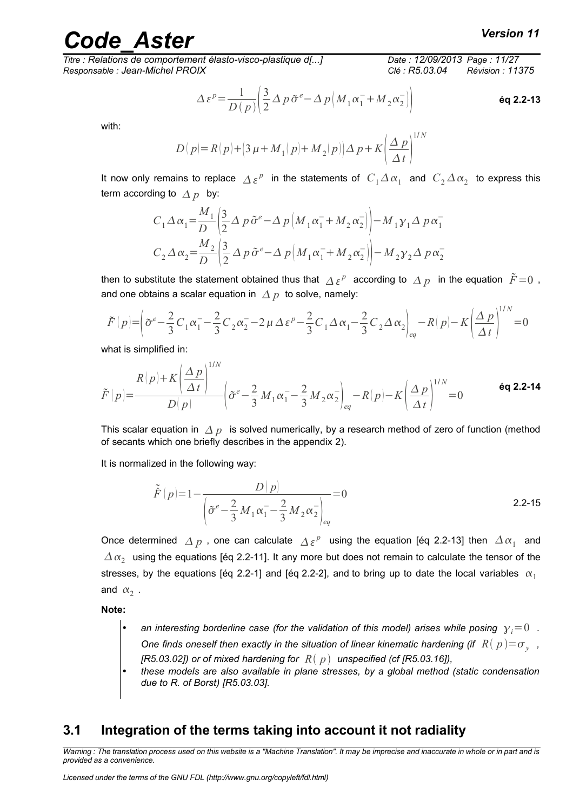*Titre : Relations de comportement élasto-visco-plastique d[...] Date : 12/09/2013 Page : 11/27 Responsable : Jean-Michel PROIX Clé : R5.03.04 Révision : 11375*

$$
\Delta \varepsilon^{p} = \frac{1}{D(p)} \left( \frac{3}{2} \Delta p \, \tilde{\sigma}^{e} - \Delta p \left( M_{1} \alpha_{1}^{-} + M_{2} \alpha_{2}^{-} \right) \right)
$$

with:

$$
D(p) = R(p) + (3 \mu + M_1(p) + M_2(p)) \Delta p + K \left(\frac{\Delta p}{\Delta t}\right)^{1/N}
$$

It now only remains to replace  $\Delta \, \varepsilon^p$  in the statements of  $C_1\Delta\,\alpha_1^-$  and  $C_2\Delta\,\alpha_2^-$  to express this term according to  $\Delta p$  by:

$$
C_1 \Delta \alpha_1 = \frac{M_1}{D} \left( \frac{3}{2} \Delta p \tilde{\sigma}^e - \Delta p \left( M_1 \alpha_1 + M_2 \alpha_2 \right) \right) - M_1 \gamma_1 \Delta p \alpha_1
$$
  

$$
C_2 \Delta \alpha_2 = \frac{M_2}{D} \left( \frac{3}{2} \Delta p \tilde{\sigma}^e - \Delta p \left( M_1 \alpha_1 + M_2 \alpha_2 \right) \right) - M_2 \gamma_2 \Delta p \alpha_2
$$

then to substitute the statement obtained thus that  $\varDelta\,\varepsilon^p\,$  according to  $\varDelta\,p\,\,$  in the equation  $\,\tilde{F}\!=\!0\,$  , and one obtains a scalar equation in  $\Delta p$  to solve, namely:

$$
\tilde{F}(p) = \left(\tilde{\sigma}^e - \frac{2}{3}C_1\alpha_1 - \frac{2}{3}C_2\alpha_2 - 2\mu\Delta\varepsilon^p - \frac{2}{3}C_1\Delta\alpha_1 - \frac{2}{3}C_2\Delta\alpha_2\right)_{eq} - R(p) - K\left(\frac{\Delta p}{\Delta t}\right)^{1/N} = 0
$$

what is simplified in:

$$
\tilde{F}(p) = \frac{R(p) + K\left(\frac{\Delta p}{\Delta t}\right)^{1/N}}{D(p)} \left(\tilde{\sigma}^e - \frac{2}{3}M_1\alpha_1 - \frac{2}{3}M_2\alpha_2\right)_{eq} - R(p) - K\left(\frac{\Delta p}{\Delta t}\right)^{1/N} = 0
$$
 6q 2.2-14

This scalar equation in  $\Delta p$  is solved numerically, by a research method of zero of function (method of secants which one briefly describes in the appendix 2).

It is normalized in the following way:

1/*N*

$$
\tilde{F}(p)=1-\frac{D(p)}{\left(\tilde{\sigma}^e-\frac{2}{3}M_1\alpha_1-\frac{2}{3}M_2\alpha_2\right)_{eq}}=0
$$

Once determined  $\Delta p$  , one can calculate  $\Delta \epsilon^p$  using the equation [éq 2.2-13] then  $\Delta \alpha_1^-$  and  $\varDelta\,\alpha_{2}^{}$  using the equations [éq 2.2-11]. It any more but does not remain to calculate the tensor of the stresses, by the equations [éq 2.2-1] and [éq 2.2-2], and to bring up to date the local variables  $\alpha_1$ and  $\alpha_2$ .

**Note:**

- an interesting borderline case (for the validation of this model) arises while posing  $y_i=0$  . *One finds oneself then exactly in the situation of linear kinematic hardening (if*  $\ R(\ p) {=} \sigma_{_{\mathcal{Y}}}$  *, [R5.03.02]) or of mixed hardening for*  $R(p)$  *unspecified (cf [R5.03.16]),*
- *these models are also available in plane stresses, by a global method (static condensation due to R. of Borst) [R5.03.03].*

#### <span id="page-10-0"></span>**3.1 Integration of the terms taking into account it not radiality**

*Warning : The translation process used on this website is a "Machine Translation". It may be imprecise and inaccurate in whole or in part and is provided as a convenience.*

1/ *N*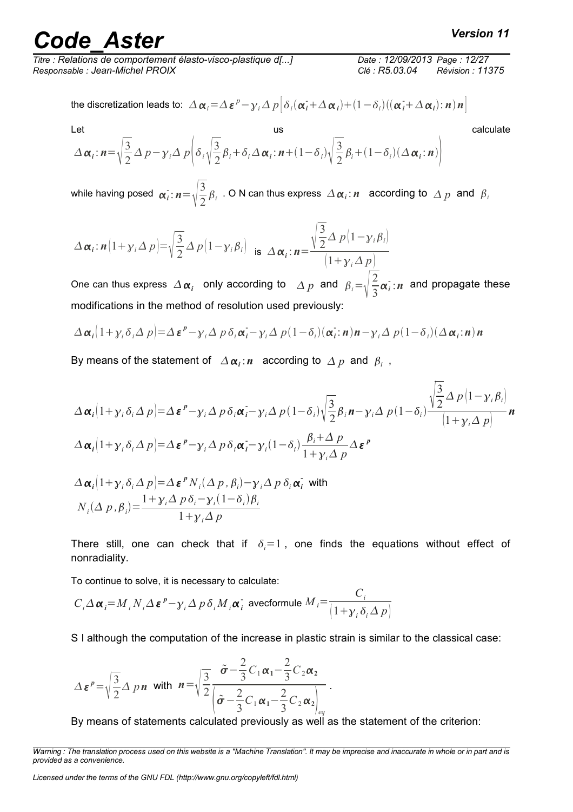# *Code\_Aster Version 11*<br>Relations de comportement élasto-visco-plastique d[...] Date : 12/09/2013 Page : 12/27

*Titre : Relations de comportement élasto-visco-plastique d[...] Date : 12/09/2013 Page : 12/27 Responsable : Jean-Michel PROIX Clé : R5.03.04 Révision : 11375*

the discretization leads to:  $\left|\Delta\,\boldsymbol{\alpha}_i\right| = \left|\Delta\,\boldsymbol{\varepsilon}^{\,p} - \gamma_i\,\Delta\,p\right| \delta_i(\boldsymbol{\alpha}_i^{\boldsymbol{\cdot}}\!+\!\Delta\,\boldsymbol{\alpha}_i)\!+\!\left(1\!-\!\delta_i\right)\!\left((\boldsymbol{\alpha}_i^{\boldsymbol{\cdot}}\!+\!\Delta\,\boldsymbol{\alpha}_i)\!:\!\boldsymbol{n}\right)\boldsymbol{n}\right|$ 

Let  
\n
$$
\Delta \alpha_i : n = \sqrt{\frac{3}{2}} \Delta p - \gamma_i \Delta p \left( \delta_i \sqrt{\frac{3}{2}} \beta_i + \delta_i \Delta \alpha_i : n + (1 - \delta_i) \sqrt{\frac{3}{2}} \beta_i + (1 - \delta_i) (\Delta \alpha_i : n) \right)
$$
\ncalculate

while having posed  $\alpha_i$  :  $n = \sqrt{\frac{3}{2}}$  $\frac{1}{2}\beta_i$  . O N can thus express  $\Delta \alpha_i$ : *n* according to  $\Delta p$  and  $\beta_i$ 

$$
\Delta \alpha_i : \mathbf{n} \left( 1 + \gamma_i \Delta p \right) = \sqrt{\frac{3}{2}} \Delta p \left( 1 - \gamma_i \beta_i \right) \quad \text{is} \quad \Delta \alpha_i : \mathbf{n} = \frac{\sqrt{\frac{3}{2}} \Delta p \left( 1 - \gamma_i \beta_i \right)}{\left( 1 + \gamma_i \Delta p \right)}
$$

One can thus express  $\Delta \alpha_i$  only according to  $\Delta p$  and  $\beta_i = \sqrt{\frac{2}{3}}$  $\frac{2}{3}\alpha_i$ :*n* and propagate these modifications in the method of resolution used previously:

$$
\Delta \alpha_i \Big( 1 + \gamma_i \delta_i \Delta p \Big) = \Delta \, \varepsilon^p - \gamma_i \Delta p \, \delta_i \alpha_i - \gamma_i \Delta p \big( 1 - \delta_i \big) \big( \alpha_i : n \big) n - \gamma_i \Delta p \big( 1 - \delta_i \big) \big( \Delta \alpha_i : n \big) n
$$

By means of the statement of  $\|\Delta \alpha_i$ : *n* according to  $\Delta p$  and  $\beta_i$ ,

$$
\Delta \alpha_i \left( 1 + \gamma_i \delta_i \Delta p \right) = \Delta \varepsilon^p - \gamma_i \Delta p \delta_i \alpha_i - \gamma_i \Delta p (1 - \delta_i) \sqrt{\frac{3}{2}} \beta_i n - \gamma_i \Delta p (1 - \delta_i) \frac{\sqrt{\frac{3}{2}} \Delta p \left( 1 - \gamma_i \beta_i \right)}{\left( 1 + \gamma_i \Delta p \right)} n
$$
  

$$
\Delta \alpha_i \left( 1 + \gamma_i \delta_i \Delta p \right) = \Delta \varepsilon^p - \gamma_i \Delta p \delta_i \alpha_i - \gamma_i (1 - \delta_i) \frac{\beta_i + \Delta p}{1 + \gamma_i \Delta p} \Delta \varepsilon^p
$$
  

$$
\Delta \alpha_i \left( 1 + \gamma_i \delta_i \Delta p \right) = \Delta \varepsilon^p N_i (\Delta p, \beta_i) - \gamma_i \Delta p \delta_i \alpha_i \text{ with}
$$

$$
N_i(\Delta p, \beta_i) = \frac{1 + \gamma_i \Delta p \delta_i - \gamma_i (1 - \delta_i) \beta_i}{1 + \gamma_i \Delta p}
$$

There still, one can check that if  $\delta_i=1$ , one finds the equations without effect of nonradiality.

To continue to solve, it is necessary to calculate:

$$
C_i \Delta \alpha_i = M_i N_i \Delta \varepsilon^p - \gamma_i \Delta p \delta_i M_i \alpha_i^{\dagger} \text{ avecformule } M_i = \frac{C_i}{\left(1 + \gamma_i \delta_i \Delta p\right)}
$$

S I although the computation of the increase in plastic strain is similar to the classical case:

.

$$
\Delta \boldsymbol{\varepsilon}^p = \sqrt{\frac{3}{2}} \Delta p \boldsymbol{n} \text{ with } \boldsymbol{n} = \sqrt{\frac{3}{2}} \frac{\tilde{\boldsymbol{\sigma}} - \frac{2}{3} C_1 \alpha_1 - \frac{2}{3} C_2 \alpha_2}{\left(\tilde{\boldsymbol{\sigma}} - \frac{2}{3} C_1 \alpha_1 - \frac{2}{3} C_2 \alpha_2\right)_{eq}}
$$

By means of statements calculated previously as well as the statement of the criterion:

*Warning : The translation process used on this website is a "Machine Translation". It may be imprecise and inaccurate in whole or in part and is provided as a convenience.*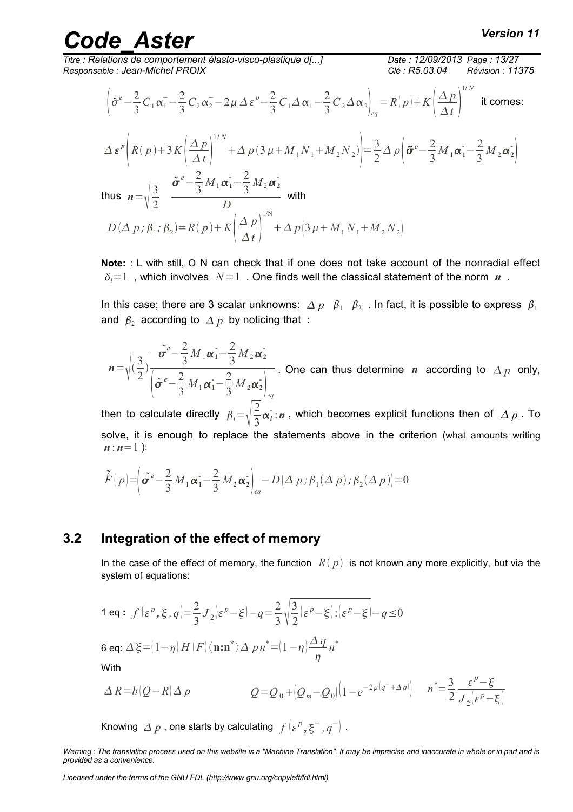*Titre : Relations de comportement élasto-visco-plastique d[...] Date : 12/09/2013 Page : 13/27 Responsable : Jean-Michel PROIX Clé : R5.03.04 Révision : 11375*

1/ *N*

$$
\left(\tilde{\sigma}^e - \frac{2}{3}C_1\alpha_1 - \frac{2}{3}C_2\alpha_2 - 2\mu\Delta\epsilon^p - \frac{2}{3}C_1\Delta\alpha_1 - \frac{2}{3}C_2\Delta\alpha_2\right)_{eq} = R(p) + K\left(\frac{\Delta p}{\Delta t}\right)^{1/2}
$$
 it comes:

$$
\Delta \varepsilon^{p} \left( R(p) + 3K \left( \frac{\Delta p}{\Delta t} \right)^{1/N} + \Delta p (3 \mu + M_{1} N_{1} + M_{2} N_{2}) \right) = \frac{3}{2} \Delta p \left( \tilde{\sigma}^{e} - \frac{2}{3} M_{1} \alpha_{1} - \frac{2}{3} M_{2} \alpha_{2} \right)
$$
  
\nthus  $n = \sqrt{\frac{3}{2}} \underbrace{\tilde{\sigma}^{e} - \frac{2}{3} M_{1} \alpha_{1} - \frac{2}{3} M_{2} \alpha_{2}}_{D}$  with  
\n $D(\Delta p; \beta_{1}; \beta_{2}) = R(p) + K \left( \frac{\Delta p}{\Delta t} \right)^{1/N} + \Delta p (3 \mu + M_{1} N_{1} + M_{2} N_{2})$ 

**Note:** : L with still, O N can check that if one does not take account of the nonradial effect  $\delta = 1$ , which involves  $N = 1$ . One finds well the classical statement of the norm *n*.

In this case; there are 3 scalar unknowns:  $\varDelta~p~~\beta_1~~\beta_2~$  . In fact, it is possible to express  $~\beta_1~$ and  $\,\beta_2\,$  according to  $\varDelta\,p\,$  by noticing that  $\,$  :

 $n = \sqrt{\left(\frac{3}{2}\right)}$ 2  $\big)$  $\tilde{\sigma}^e - \frac{2}{2}$  $\frac{2}{3}M_1\alpha_1 - \frac{2}{3}$  $\frac{2}{3}M_{2}\alpha_{2}$ <sup>-</sup>  $\int \tilde{\sigma}^e - \frac{2}{3}$  $\frac{2}{3}M_1\alpha_1 - \frac{2}{3}$  $\frac{2}{3}M_2\alpha_2^2\Big|_{eq}$ . One can thus determine *n* according to  $\Delta p$  only,

then to calculate directly  $\beta_i = \sqrt{\frac{2}{3}}$  $\frac{2}{3}\alpha$ ; :*n*, which becomes explicit functions then of  $\Delta p$  . To solve, it is enough to replace the statements above in the criterion (what amounts writing  $n:n=1$  ):

$$
\tilde{F}(p) = \left(\tilde{\sigma}^e - \frac{2}{3}M_1\alpha_1 - \frac{2}{3}M_2\alpha_2\right)_{eq} - D\left(\Delta p; \beta_1(\Delta p); \beta_2(\Delta p)\right) = 0
$$

#### **3.2 Integration of the effect of memory**

<span id="page-12-0"></span>In the case of the effect of memory, the function  $R(p)$  is not known any more explicitly, but via the system of equations:

$$
\mathbf{1} \text{ eq}: f\left(\varepsilon^p, \xi, q\right) = \frac{2}{3} J_2\left(\varepsilon^p - \xi\right) - q = \frac{2}{3} \sqrt{\frac{3}{2}} \left(\varepsilon^p - \xi\right) : \left(\varepsilon^p - \xi\right) - q \le 0
$$

$$
\mathbf{6} \text{ eq: } \Delta \xi = (1 - \eta) H(F) \langle \mathbf{n} : \mathbf{n}^* \rangle \Delta p n^* = (1 - \eta) \frac{\Delta q}{\eta} n^*
$$

With

$$
\Delta R = b(Q - R)\Delta p \qquad Q = Q_0 + (Q_m - Q_0)\left(1 - e^{-2\mu(q^- + \Delta q)}\right) \qquad n^* = \frac{3}{2} \frac{\varepsilon^p - \xi}{J_2(\varepsilon^p - \xi)}
$$

Knowing  $\varDelta\:p$  , one starts by calculating  $\ f\left(\varepsilon^p,\xi^-,q^-\right)$  .

*Warning : The translation process used on this website is a "Machine Translation". It may be imprecise and inaccurate in whole or in part and is provided as a convenience.*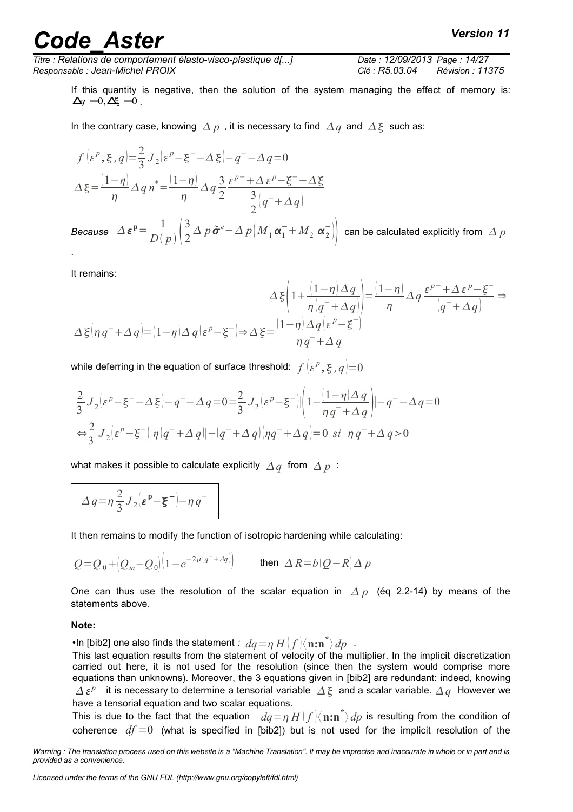*Titre : Relations de comportement élasto-visco-plastique d[...] Date : 12/09/2013 Page : 14/27 Responsable : Jean-Michel PROIX Clé : R5.03.04 Révision : 11375*

If this quantity is negative, then the solution of the system managing the effect of memory is:  $\Delta q = 0, \Delta \xi = 0$ .

In the contrary case, knowing  $\Delta p$ , it is necessary to find  $\Delta q$  and  $\Delta \xi$  such as:

$$
f\left(\varepsilon^{p}, \xi, q\right) = \frac{2}{3}J_{2}\left(\varepsilon^{p} - \xi^{-} - \Delta \xi\right) - q^{-} - \Delta q = 0
$$
  

$$
\Delta \xi = \frac{\left(1 - \eta\right)}{\eta} \Delta q n^* = \frac{\left(1 - \eta\right)}{\eta} \Delta q \frac{3}{2} \frac{\varepsilon^{p} + \Delta \varepsilon^{p} - \xi^{-} - \Delta \xi}{\frac{3}{2}\left(q^{-} + \Delta q\right)}
$$

*Because*  $\Delta \varepsilon^{p} = \frac{1}{D}$  $\overline{D(p)}\sqrt{2}$ 3 2  $\Delta~p$   $\tilde{\bm{\sigma}}^e - \Delta~p\bigl(M^{}_1\,\bm{\alpha}_1^- + M^{}_2\,\,\bm{\alpha}_2^-\bigr)\bigr|~$  can be calculated explicitly from  $~\Delta~p$ .

It remains:

$$
\Delta \xi \left( 1 + \frac{(1 - \eta) \Delta q}{\eta (q^- + \Delta q)} \right) = \frac{(1 - \eta) \Delta q}{\eta} \Delta q \frac{\varepsilon^{p^-} + \Delta \varepsilon^p - \xi^-}{(q^- + \Delta q)} \Rightarrow
$$

$$
\Delta \xi \left( \eta q^- + \Delta q \right) = (1 - \eta) \Delta q \left( \varepsilon^p - \xi^- \right) \Rightarrow \Delta \xi = \frac{(1 - \eta) \Delta q \left( \varepsilon^p - \xi^- \right)}{\eta q^- + \Delta q}
$$

while deferring in the equation of surface threshold:  $\left. f\left( \varepsilon^p,\xi,q\right)\right| \!=\!0$ 

$$
\frac{2}{3}J_2\left(\varepsilon^p-\xi^--\Delta\xi\right)-q^--\Delta q=0\\ =\frac{2}{3}J_2\left(\varepsilon^p-\xi^-\right)\left|\left(1-\frac{(1-\eta)\Delta\,q}{\eta\,q^-+\Delta\,q}\right)\right|-\left(q^--\Delta q=0\right)
$$
  

$$
\Leftrightarrow \frac{2}{3}J_2\left(\varepsilon^p-\xi^-\right)\left|\eta\left(q^-+\Delta\,q\right)\right|-\left(q^-+\Delta\,q\right)\left|\eta q^-+\Delta\,q\right|=0\,\,\text{si}\,\,\eta\,q^-+\Delta\,q>0
$$

what makes it possible to calculate explicitly  $\Delta q$  from  $\Delta p$ :

$$
\Delta q = \eta \frac{2}{3} J_2 \left[\varepsilon^p - \xi^- \right] - \eta q^-
$$

It then remains to modify the function of isotropic hardening while calculating:

$$
Q = Q_0 + (Q_m - Q_0)(1 - e^{-2\mu(q^- + Aq)}) \qquad \text{then } \Delta R = b(Q - R) \Delta p
$$

One can thus use the resolution of the scalar equation in  $\Delta p$  (eq 2.2-14) by means of the statements above.

#### **Note:**

•In [bib2] one also finds the statement  $\colon\thinspace dq\!=\!\eta\,H\!\left(f\right)\!\left\langle\mathbf{n}{:}\mathbf{n}^*\right\rangle dp$  .

This last equation results from the statement of velocity of the multiplier. In the implicit discretization carried out here, it is not used for the resolution (since then the system would comprise more equations than unknowns). Moreover, the 3 equations given in [bib2] are redundant: indeed, knowing  $\Delta \, \varepsilon^p$  it is necessary to determine a tensorial variable  $\Delta \, \xi$  and a scalar variable.  $\Delta \, q$  However we have a tensorial equation and two scalar equations.

This is due to the fact that the equation  $dq = \eta H(f) \langle \mathbf{n:n}^* \rangle dp$  is resulting from the condition of coherence  $df = 0$  (what is specified in [bib2]) but is not used for the implicit resolution of the

*Licensed under the terms of the GNU FDL (http://www.gnu.org/copyleft/fdl.html)*

*Warning : The translation process used on this website is a "Machine Translation". It may be imprecise and inaccurate in whole or in part and is provided as a convenience.*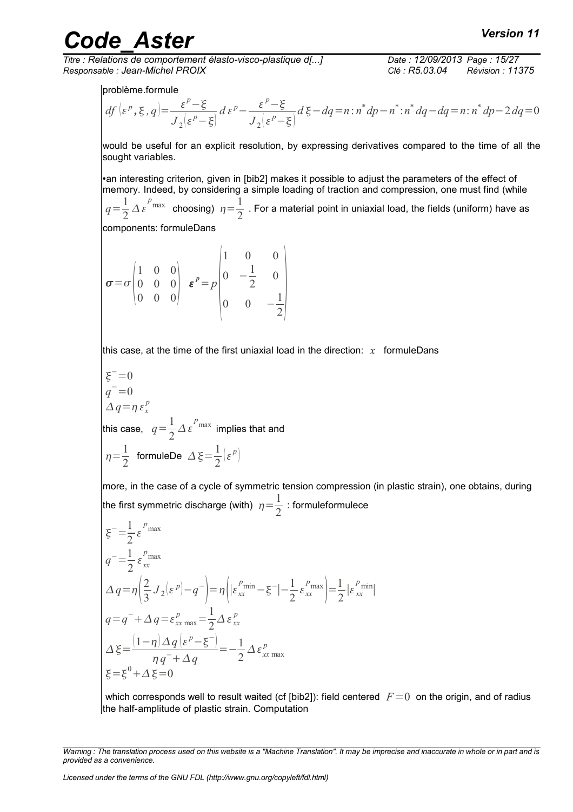*Titre : Relations de comportement élasto-visco-plastique d[...] Date : 12/09/2013 Page : 15/27 Responsable : Jean-Michel PROIX Clé : R5.03.04 Révision : 11375*

problème.formule

$$
df\left(\varepsilon^{p},\xi,q\right) = \frac{\varepsilon^{p}-\xi}{J_{2}\left(\varepsilon^{p}-\xi\right)}d\varepsilon^{p} - \frac{\varepsilon^{p}-\xi}{J_{2}\left(\varepsilon^{p}-\xi\right)}d\xi - dq = n : n^{*}dp - n^{*} : n^{*}dq - dq = n : n^{*}dp - 2dq = 0
$$

would be useful for an explicit resolution, by expressing derivatives compared to the time of all the sought variables.

•an interesting criterion, given in [bib2] makes it possible to adjust the parameters of the effect of memory. Indeed, by considering a simple loading of traction and compression, one must find (while  $q = \frac{1}{2}$  $\frac{1}{2} \Delta \varepsilon^{p_{\max}}$  choosing)  $\eta = \frac{1}{2}$  $\frac{1}{2}$  . For a material point in uniaxial load, the fields (uniform) have as

components: formuleDans

 $\sigma = \sigma \Big|_0^0$ 1 0 0 0 0 0  $\begin{bmatrix} 0 & 0 & 0 \\ 0 & 0 & 0 \end{bmatrix}$  $\varepsilon^p=p$  $|0 \rangle$ 1 0 0 0  $-\frac{1}{2}$ 2 0 0 0  $-\frac{1}{2}$ 

this case, at the time of the first uniaxial load in the direction: *x* formuleDans

$$
\xi^{-}=0
$$
  
\n $q^{-}=0$   
\n $\Delta q = \eta \epsilon_x^p$   
\nthis case,  $q = \frac{1}{2} \Delta \epsilon^{p_{max}}$  implies that and  
\n $\eta = \frac{1}{2}$  formuleDe  $\Delta \xi = \frac{1}{2} (\epsilon^p)$ 

more, in the case of a cycle of symmetric tension compression (in plastic strain), one obtains, during the first symmetric discharge (with)  $\eta\!=\!\frac{1}{2}$  $\frac{1}{2}$  : formuleformulece

$$
\xi^{-} = \frac{1}{2} \varepsilon^{\rho_{\text{max}}}
$$
\n
$$
q^{-} = \frac{1}{2} \varepsilon^{\rho_{\text{max}}}
$$
\n
$$
\Delta q = \eta \left( \frac{2}{3} J_2 (\varepsilon^p) - q^{-} \right) = \eta \left( |\varepsilon^{\rho_{\text{min}}}_{xx} - \xi^{-}| - \frac{1}{2} \varepsilon^{\rho_{\text{max}}}_{xx} \right) = \frac{1}{2} |\varepsilon^{\rho_{\text{min}}}_{xx}|
$$
\n
$$
q = q^{-} + \Delta q = \varepsilon^p_{xx \text{ max}} = \frac{1}{2} \Delta \varepsilon^p_{xx}
$$
\n
$$
\Delta \xi = \frac{(1 - \eta) \Delta q (\varepsilon^p - \xi^{-})}{\eta q^{-} + \Delta q} = -\frac{1}{2} \Delta \varepsilon^p_{xx \text{ max}}
$$
\n
$$
\xi = \xi^0 + \Delta \xi = 0
$$

which corresponds well to result waited (cf [bib2]): field centered  $F=0$  on the origin, and of radius the half-amplitude of plastic strain. Computation

*Warning : The translation process used on this website is a "Machine Translation". It may be imprecise and inaccurate in whole or in part and is provided as a convenience.*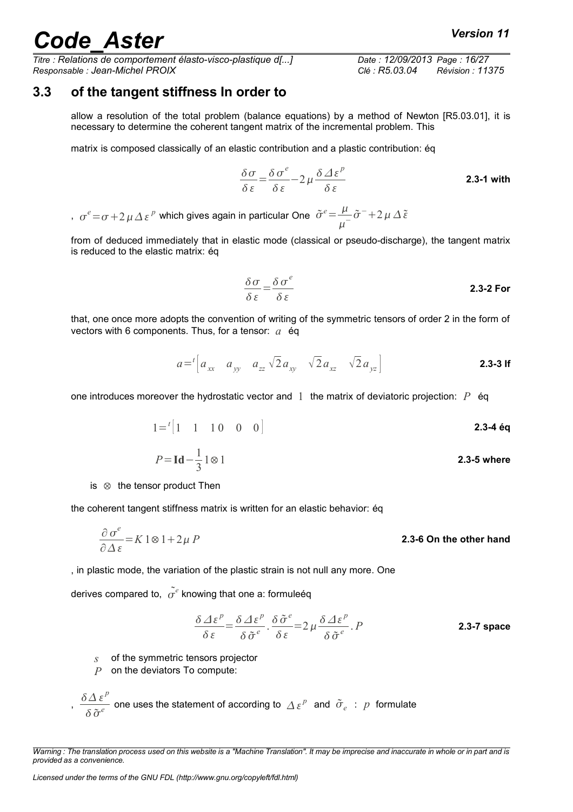*Titre : Relations de comportement élasto-visco-plastique d[...] Date : 12/09/2013 Page : 16/27 Responsable : Jean-Michel PROIX Clé : R5.03.04 Révision : 11375*

#### **3.3 of the tangent stiffness In order to**

<span id="page-15-0"></span>allow a resolution of the total problem (balance equations) by a method of Newton [R5.03.01], it is necessary to determine the coherent tangent matrix of the incremental problem. This

matrix is composed classically of an elastic contribution and a plastic contribution: éq

$$
\frac{\delta \sigma}{\delta \varepsilon} = \frac{\delta \sigma^e}{\delta \varepsilon} - 2\mu \frac{\delta \Delta \varepsilon^p}{\delta \varepsilon}
$$
 2.3-1 with

,  $\sigma^e\!=\!\sigma\!+\!2\,\mu\,\Delta\,\varepsilon^{\,p}$  which gives again in particular One  $\tilde{\sigma}^e\!=\!\frac{\mu}{\sqrt{2}}$  $\frac{\mu}{\mu^{-}}\tilde{\sigma}^{-}+2\,\mu\,\Delta\,\tilde{\varepsilon}$ 

from of deduced immediately that in elastic mode (classical or pseudo-discharge), the tangent matrix is reduced to the elastic matrix: éq

$$
\frac{\delta \sigma}{\delta \varepsilon} = \frac{\delta \sigma^e}{\delta \varepsilon}
$$
 2.3-2 For

that, one once more adopts the convention of writing of the symmetric tensors of order 2 in the form of vectors with 6 components. Thus, for a tensor: *a* éq

$$
a = {}^{t} \left[ a_{xx} \quad a_{yy} \quad a_{zz} \sqrt{2} a_{xy} \quad \sqrt{2} a_{xz} \quad \sqrt{2} a_{yz} \right]
$$
 **2.3-3 If**

one introduces moreover the hydrostatic vector and 1 the matrix of deviatoric projection: *P* éq

$$
1 = {}^{t} \begin{bmatrix} 1 & 1 & 1 & 0 & 0 & 0 \end{bmatrix}
$$
 2.3-4 éq

$$
P = \mathbf{Id} - \frac{1}{3} \mathbf{1} \otimes \mathbf{1}
$$
 2.3-5 where

is ⊗ the tensor product Then

the coherent tangent stiffness matrix is written for an elastic behavior: éq

$$
\frac{\partial \sigma^e}{\partial \Delta \varepsilon} = K 1 \otimes 1 + 2\mu P
$$
 **2.3-6 On the other hand**

, in plastic mode, the variation of the plastic strain is not null any more. One

derives compared to,  $\tilde{o^e}$  knowing that one a: formuleéq

$$
\frac{\delta \Delta \varepsilon^{p}}{\delta \varepsilon} = \frac{\delta \Delta \varepsilon^{p}}{\delta \tilde{\sigma}^{e}} \cdot \frac{\delta \tilde{\sigma}^{e}}{\delta \varepsilon} = 2 \mu \frac{\delta \Delta \varepsilon^{p}}{\delta \tilde{\sigma}^{e}} \cdot P
$$
 **2.3-7 space**

*s* of the symmetric tensors projector

*P* on the deviators To compute:

$$
, \frac{\delta \Delta \, \varepsilon^p}{\delta \, \tilde{\sigma}^e} \text{ one uses the statement of according to } \Delta \, \varepsilon^p \text{ and } \tilde{\sigma}_e \text{ : } p \text{ formulate}
$$

*Warning : The translation process used on this website is a "Machine Translation". It may be imprecise and inaccurate in whole or in part and is provided as a convenience.*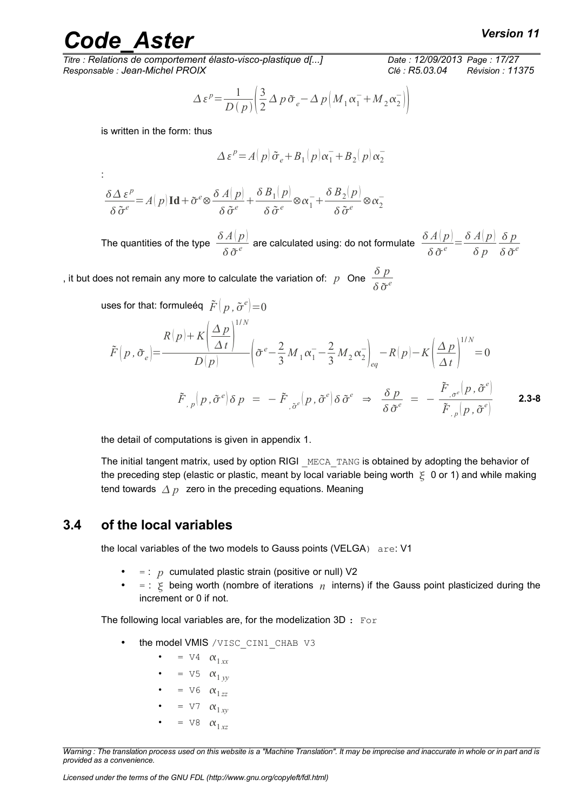:

*Titre : Relations de comportement élasto-visco-plastique d[...] Date : 12/09/2013 Page : 17/27 Responsable : Jean-Michel PROIX Clé : R5.03.04 Révision : 11375*

$$
\Delta \varepsilon^{p} = \frac{1}{D(p)} \left( \frac{3}{2} \Delta p \, \tilde{\sigma}_{e} - \Delta p \left( M_{1} \alpha_{1}^{-} + M_{2} \alpha_{2}^{-} \right) \right)
$$

is written in the form: thus

$$
\Delta \varepsilon^{p} = A(p) \tilde{\sigma}_{e} + B_1(p) \alpha_1^{-} + B_2(p) \alpha_2^{-}
$$

$$
\frac{\delta \Delta \, \varepsilon^p}{\delta \, \tilde{\sigma}^e} \!\!=\! A\!\left(\,p\right) \mathbf{Id} \!+\! \tilde{\sigma}^e \!\otimes\! \frac{\delta \, A\!\left(\,p\right)}{\delta \, \tilde{\sigma}^e} \!+\! \frac{\delta \, B_1\!\left(\,p\right)}{\delta \, \tilde{\sigma}^e} \!\otimes\! \alpha_1^- \!+\! \frac{\delta \, B_2\!\left(\,p\right)}{\delta \, \tilde{\sigma}^e} \!\otimes\! \alpha_2^-
$$

The quantities of the type  $\frac{\delta A(p)}{p}$  $\displaystyle\frac{d^2A(p)}{\delta\,\tilde{\sigma}^e}$  are calculated using: do not formulate  $\displaystyle\frac{\delta\,A(p)}{\delta\,\tilde{\sigma}^e}$  $\frac{\delta A(p)}{\delta \tilde{\sigma}^e} = \frac{\delta A(p)}{\delta p}$ *δ p δ p*  $\delta \tilde{\sigma}^e$ 

, it but does not remain any more to calculate the variation of: *p* One  $\frac{\delta p}{\delta q}$  $\delta \tilde{\sigma}^e$ 

1/ *N*

uses for that: formuleéq  $\left.\tilde{F}\right|\rho$  ,  $\tilde{\sigma}^e\bigl|=0$ 

$$
\tilde{F}(p, \tilde{\sigma}_e) = \frac{R(p) + K\left(\frac{\Delta p}{\Delta t}\right)^{1/N}}{D(p)} \left(\tilde{\sigma}^e - \frac{2}{3}M_1\alpha_1 - \frac{2}{3}M_2\alpha_2\right)_{eq} - R(p) - K\left(\frac{\Delta p}{\Delta t}\right)^{1/N} = 0
$$
\n
$$
\tilde{F}_{p,p}(p, \tilde{\sigma}^e) \delta p = -\tilde{F}_{p,\tilde{\sigma}^e}(p, \tilde{\sigma}^e) \delta \tilde{\sigma}^e \Rightarrow \frac{\delta p}{\delta \tilde{\sigma}^e} = -\frac{\tilde{F}_{p,\tilde{\sigma}^e}(p, \tilde{\sigma}^e)}{\tilde{F}_{p,p}(p, \tilde{\sigma}^e)} \qquad \textbf{2.3-8}
$$

the detail of computations is given in appendix 1.

The initial tangent matrix, used by option RIGI MECA TANG is obtained by adopting the behavior of the preceding step (elastic or plastic, meant by local variable being worth  $\zeta$  0 or 1) and while making tend towards  $\Delta p$  zero in the preceding equations. Meaning

#### **3.4 of the local variables**

<span id="page-16-0"></span>the local variables of the two models to Gauss points (VELGA) are: V1

- $=$ :  $p$  cumulated plastic strain (positive or null) V2
- $=$  :  $\leq$  being worth (nombre of iterations  $n$  interns) if the Gauss point plasticized during the increment or 0 if not.

The following local variables are, for the modelization  $3D : For$ 

- the model VMIS / VISC\_CIN1\_CHAB V3
	- $= \nabla 4 \alpha_{1xx}$
	- $= \nabla 5 \alpha_{1 yy}$
	- $= \nabla 6 \alpha_{1zz}$
	- $= \nabla 7 \alpha_{1 \text{ rev}}$
	- $= \nabla 8 \alpha_1 x^2$

*Warning : The translation process used on this website is a "Machine Translation". It may be imprecise and inaccurate in whole or in part and is provided as a convenience.*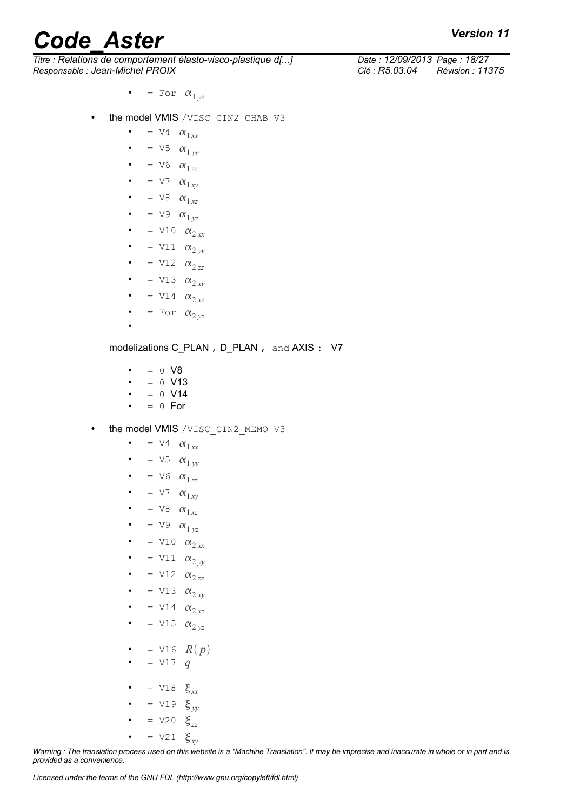*Titre : Relations de comportement élasto-visco-plastique d[...] Date : 12/09/2013 Page : 18/27 Responsable : Jean-Michel PROIX Clé : R5.03.04 Révision : 11375*

- $=$  For  $\alpha_{1 yz}$
- the model VMIS / VISC CIN2 CHAB V3
	- $= \nabla 4 \alpha_{1,xx}$ •  $= \nabla 5 \alpha_{1 yy}$
	- $= V6 \quad \alpha_{1zz}$
	- $= \nabla 7 \alpha_{1xy}$
	-
	- $= \nabla 8 \alpha_{1xz}$
	- $= \nabla 9 \alpha_{1 yz}$
	- $=$  V10  $\alpha_{2xx}$
	- $=$  V11  $\alpha_{2yy}$
	- $= \text{V12} \quad \alpha_{2zz}$
	- $= \text{V13} \quad \alpha_{2xy}$
	- $= \text{V14} \quad \alpha_{2,xz}$
	- $=$  For  $\alpha_{2 yz}$
	- •

modelizations C\_PLAN , D\_PLAN , and AXIS : V7

- $= 0$  V8
- $= 0$  V13
- $= 0$  V14
- $= 0$  For
- the model VMIS / VISC CIN2 MEMO V3
	- $= \nabla 4 \alpha_{1,xx}$
	- $= \nabla 5 \alpha_{1} y_y$
	- $= V6 \quad \alpha_{1zz}$
	- $= \nabla 7 \alpha_{1xy}$
	- $= \nabla 8 \alpha_{1xz}$
	- $= \nabla 9 \alpha_1_{yz}$
	- $= \text{V10} \quad \alpha_{2xx}$
	- $=$  V11  $\alpha_{2yy}$
	- $=$  V12  $\alpha_{2zz}$
	- $= \text{V13} \quad \alpha_{2xy}$
	- $= \text{V14} \quad \alpha_{2\,xz}$
	- $= \text{V15} \quad \alpha_{2 \, yz}$
	- $= \text{V16}$   $R(p)$
	- $= \text{V17} q$
	- $= \text{V18} \quad \xi_{xx}$
	- $= \text{V19} \quad \xi_{yy}$
	- $= \text{V20} \quad \xi_{zz}$
	- $= \text{V21} \quad \xi_{xy}$

*Warning : The translation process used on this website is a "Machine Translation". It may be imprecise and inaccurate in whole or in part and is provided as a convenience.*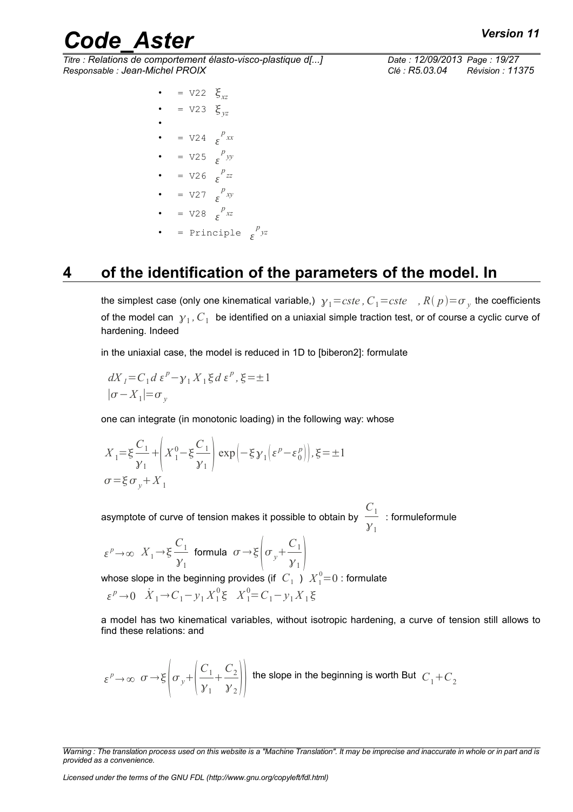*Titre : Relations de comportement élasto-visco-plastique d[...] Date : 12/09/2013 Page : 19/27 Responsable : Jean-Michel PROIX Clé : R5.03.04 Révision : 11375*

> $= \sqrt{22} \xi_{rr}$  $= \text{V23 } \xi_{vz}$

- •  $= \text{V24} \quad \varepsilon^{p} x x$
- $= \text{V25} \varepsilon^p$  *yy*
- $= \sqrt{26} \frac{p}{\varepsilon}$
- $= \sqrt{27} \epsilon^{p} xy$
- $= \text{V28 } e^{p_{xz}}$
- = Principle  $\epsilon^{p} yz$

### **4 of the identification of the parameters of the model. In**

<span id="page-18-0"></span>the simplest case (only one kinematical variable,)  $|{\mathcal{Y}}_1\!=\!cste$  *,*  $C_1\!=\!cste$  $\;$  *, R*(  $p$  )=  $\!\sigma_{_{\mathcal{Y}}}$  the coefficients of the model can  $|{\mathcal Y}_1, C_1|$  be identified on a uniaxial simple traction test, or of course a cyclic curve of hardening. Indeed

in the uniaxial case, the model is reduced in 1D to [biberon2]: formulate

$$
dX_{I} = C_{1} d \varepsilon^{P} - \gamma_{1} X_{1} \xi d \varepsilon^{P}, \xi = \pm 1
$$
  

$$
|\sigma - X_{1}| = \sigma_{y}
$$

one can integrate (in monotonic loading) in the following way: whose

$$
X_1 = \xi \frac{C_1}{\gamma_1} + \left( X_1^0 - \xi \frac{C_1}{\gamma_1} \right) \exp \left( -\xi \gamma_1 \left( \xi^p - \xi_0^p \right) \right), \xi = \pm 1
$$
  

$$
\sigma = \xi \sigma_y + X_1
$$

asymptote of curve of tension makes it possible to obtain by  $\frac{C_1}{C_2}$  $\frac{1}{\mathcal{Y}_1}$  : formuleformule

$$
\varepsilon^p \to \infty
$$
  $X_1 \to \xi \frac{C_1}{\gamma_1}$  formula  $\sigma \to \xi \left( \sigma_y + \frac{C_1}{\gamma_1} \right)$ 

whose slope in the beginning provides (if  $\; C_1 \,$  )  $\; X_1^0\!\!=\!0$  : formulate  $\epsilon^{p} \to 0$   $\dot{X}_1 \to C_1 - y_1 X_1^0 \xi$   $X_1^0 = C_1 - y_1 X_1 \xi$ 

a model has two kinematical variables, without isotropic hardening, a curve of tension still allows to find these relations: and

$$
\varepsilon^p \to \infty \quad \sigma \to \xi \left( \sigma_y + \left( \frac{C_1}{\gamma_1} + \frac{C_2}{\gamma_2} \right) \right)
$$
 the slope in the beginning is worth But  $C_1 + C_2$ 

*Warning : The translation process used on this website is a "Machine Translation". It may be imprecise and inaccurate in whole or in part and is provided as a convenience.*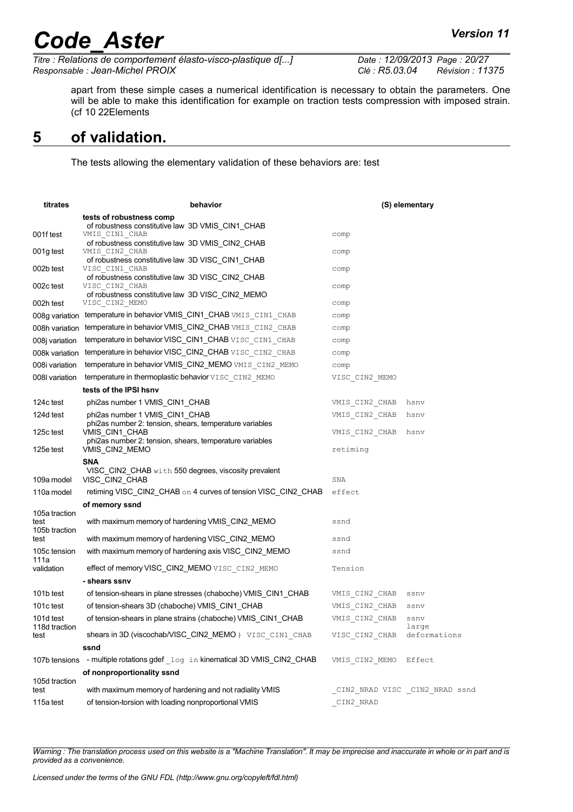*Titre : Relations de comportement élasto-visco-plastique d[...] Date : 12/09/2013 Page : 20/27 Responsable : Jean-Michel PROIX Clé : R5.03.04 Révision : 11375*

apart from these simple cases a numerical identification is necessary to obtain the parameters. One will be able to make this identification for example on traction tests compression with imposed strain. (cf 10 [22E](#page-21-3)lements

#### **5 of validation.**

<span id="page-19-0"></span>The tests allowing the elementary validation of these behaviors are: test

| titrates                               | behavior                                                                                                                             |                               | (S) elementary        |
|----------------------------------------|--------------------------------------------------------------------------------------------------------------------------------------|-------------------------------|-----------------------|
| 001f test                              | tests of robustness comp<br>of robustness constitutive law 3D VMIS_CIN1_CHAB<br>VMIS CIN1 CHAB                                       | comp                          |                       |
|                                        | of robustness constitutive law 3D VMIS_CIN2_CHAB                                                                                     |                               |                       |
| 001g test                              | VMIS CIN2 CHAB<br>of robustness constitutive law 3D VISC_CIN1_CHAB                                                                   | comp                          |                       |
| 002b test                              | VISC CIN1 CHAB<br>of robustness constitutive law 3D VISC_CIN2_CHAB                                                                   | comp                          |                       |
| 002c test                              | VISC CIN2 CHAB<br>of robustness constitutive law 3D VISC_CIN2_MEMO                                                                   | comp                          |                       |
| 002h test                              | VISC CIN2 MEMO                                                                                                                       | comp                          |                       |
|                                        | 008g variation temperature in behavior VMIS_CIN1_CHAB VMIS CIN1 CHAB                                                                 | comp                          |                       |
|                                        | 008h variation temperature in behavior VMIS_CIN2_CHAB VMIS CIN2 CHAB                                                                 | comp                          |                       |
| 008j variation                         | temperature in behavior VISC_CIN1_CHAB VISC_CIN1_CHAB                                                                                | comp                          |                       |
| 008k variation                         | temperature in behavior VISC_CIN2_CHAB VISC_CIN2_CHAB                                                                                | comp                          |                       |
| 008i variation                         | temperature in behavior VMIS_CIN2_MEMO VMIS_CIN2_MEMO                                                                                | comp                          |                       |
| 008I variation                         | temperature in thermoplastic behavior VISC CIN2 MEMO                                                                                 | VISC CIN2 MEMO                |                       |
|                                        | tests of the IPSI hsnv                                                                                                               |                               |                       |
| 124c test                              | phi2as number 1 VMIS_CIN1_CHAB                                                                                                       | VMIS CIN2 CHAB                | hsnv                  |
| 124d test                              | phi2as number 1 VMIS CIN1 CHAB                                                                                                       | VMIS CIN2 CHAB                | hsnv                  |
| 125c test                              | phi2as number 2: tension, shears, temperature variables<br>VMIS CIN1 CHAB<br>phi2as number 2: tension, shears, temperature variables | VMIS CIN2 CHAB                | hsnv                  |
| 125e test                              | VMIS CIN2 MEMO                                                                                                                       | retiming                      |                       |
|                                        | SNA                                                                                                                                  |                               |                       |
| 109a model                             | VISC CIN2 CHAB with 550 degrees, viscosity prevalent<br>VISC_CIN2_CHAB                                                               | SNA                           |                       |
| 110a model                             | retiming VISC_CIN2_CHAB on 4 curves of tension VISC_CIN2_CHAB                                                                        | effect                        |                       |
|                                        | of memory ssnd                                                                                                                       |                               |                       |
| 105a traction<br>test<br>105b traction | with maximum memory of hardening VMIS_CIN2_MEMO                                                                                      | ssnd                          |                       |
| test                                   | with maximum memory of hardening VISC_CIN2_MEMO                                                                                      | ssnd                          |                       |
| 105c tension<br>111a                   | with maximum memory of hardening axis VISC_CIN2_MEMO                                                                                 | ssnd                          |                       |
| validation                             | effect of memory VISC_CIN2_MEMO VISC CIN2 MEMO                                                                                       | Tension                       |                       |
|                                        | - shears ssnv                                                                                                                        |                               |                       |
| 101b test                              | of tension-shears in plane stresses (chaboche) VMIS_CIN1_CHAB                                                                        | VMIS CIN2 CHAB                | ssnv                  |
| 101c test                              | of tension-shears 3D (chaboche) VMIS CIN1 CHAB                                                                                       | VMIS CIN2 CHAB                | ssnv                  |
| 101d test                              | of tension-shears in plane strains (chaboche) VMIS_CIN1_CHAB                                                                         | VMIS CIN2 CHAB                | ssnv                  |
| 118d traction<br>test                  | shears in 3D (viscochab/VISC_CIN2_MEMO) VISC CIN1 CHAB                                                                               | VISC CIN2 CHAB                | large<br>deformations |
|                                        | ssnd                                                                                                                                 |                               |                       |
| 107b tensions                          | - multiple rotations gdef log in kinematical 3D VMIS_CIN2_CHAB                                                                       | VMIS CIN2 MEMO                | Effect                |
| 105d traction                          | of nonproportionality ssnd                                                                                                           |                               |                       |
| test                                   | with maximum memory of hardening and not radiality VMIS                                                                              | CIN2 NRAD VISC CIN2 NRAD ssnd |                       |
| 115a test                              | of tension-torsion with loading nonproportional VMIS                                                                                 | CIN2 NRAD                     |                       |
|                                        |                                                                                                                                      |                               |                       |

*Warning : The translation process used on this website is a "Machine Translation". It may be imprecise and inaccurate in whole or in part and is provided as a convenience.*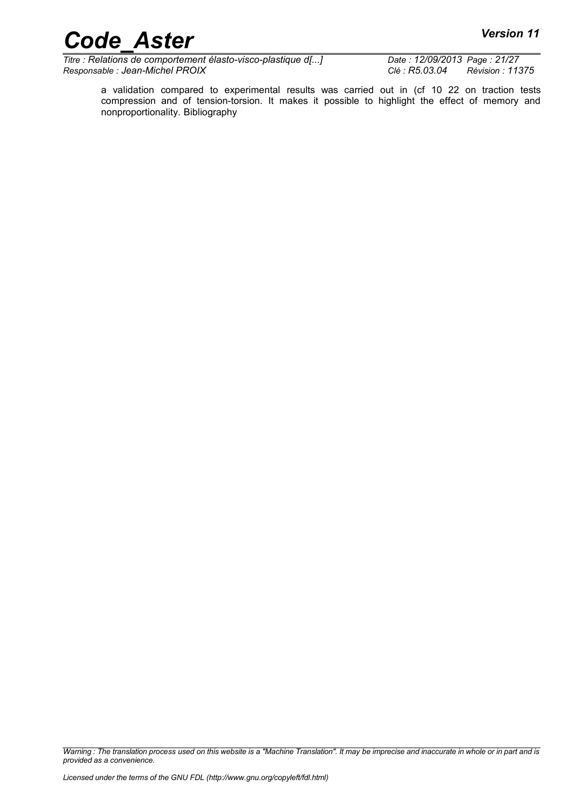*Titre : Relations de comportement élasto-visco-plastique d[...] Date : 12/09/2013 Page : 21/27 Responsable : Jean-Michel PROIX Clé : R5.03.04 Révision : 11375*

a validation compared to experimental results was carried out in (cf 10 [22](#page-21-3) on traction tests compression and of tension-torsion. It makes it possible to highlight the effect of memory and nonproportionality. Bibliography

*Warning : The translation process used on this website is a "Machine Translation". It may be imprecise and inaccurate in whole or in part and is provided as a convenience.*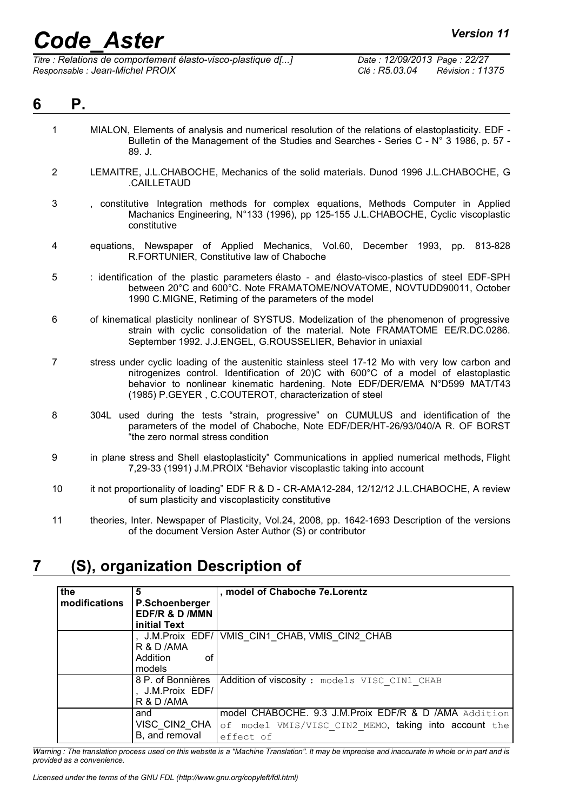# *Code\_Aster Version 11*<br> *Titre : Relations de comportement élasto-visco-plastique d[...]* Date : 12/09/2013 Page : 22/27

*Titre : Relations de comportement élasto-visco-plastique d[...] Responsable : Jean-Michel PROIX Clé : R5.03.04 Révision : 11375*

<span id="page-21-1"></span>

| 6 | Ρ.             |                                                                                                                                                                                                                                                                                                                               |
|---|----------------|-------------------------------------------------------------------------------------------------------------------------------------------------------------------------------------------------------------------------------------------------------------------------------------------------------------------------------|
|   | $\mathbf{1}$   | MIALON, Elements of analysis and numerical resolution of the relations of elastoplasticity. EDF -<br>Bulletin of the Management of the Studies and Searches - Series C - N° 3 1986, p. 57 -<br>89. J.                                                                                                                         |
|   | $\overline{2}$ | LEMAITRE, J.L.CHABOCHE, Mechanics of the solid materials. Dunod 1996 J.L.CHABOCHE, G<br>.CAILLETAUD                                                                                                                                                                                                                           |
|   | 3              | , constitutive Integration methods for complex equations, Methods Computer in Applied<br>Machanics Engineering, N°133 (1996), pp 125-155 J.L.CHABOCHE, Cyclic viscoplastic<br>constitutive                                                                                                                                    |
|   | 4              | equations, Newspaper of Applied Mechanics, Vol.60, December 1993, pp. 813-828<br>R.FORTUNIER, Constitutive law of Chaboche                                                                                                                                                                                                    |
|   | 5              | : identification of the plastic parameters élasto - and élasto-visco-plastics of steel EDF-SPH<br>between 20°C and 600°C. Note FRAMATOME/NOVATOME, NOVTUDD90011, October<br>1990 C.MIGNE, Retiming of the parameters of the model                                                                                             |
|   | 6              | of kinematical plasticity nonlinear of SYSTUS. Modelization of the phenomenon of progressive<br>strain with cyclic consolidation of the material. Note FRAMATOME EE/R.DC.0286.<br>September 1992. J.J.ENGEL, G.ROUSSELIER, Behavior in uniaxial                                                                               |
|   | $\overline{7}$ | stress under cyclic loading of the austenitic stainless steel 17-12 Mo with very low carbon and<br>nitrogenizes control. Identification of 20)C with 600°C of a model of elastoplastic<br>behavior to nonlinear kinematic hardening. Note EDF/DER/EMA N°D599 MAT/T43<br>(1985) P.GEYER, C.COUTEROT, characterization of steel |
|   | 8              | 304L used during the tests "strain, progressive" on CUMULUS and identification of the<br>parameters of the model of Chaboche, Note EDF/DER/HT-26/93/040/A R. OF BORST<br>"the zero normal stress condition                                                                                                                    |
|   | 9              | in plane stress and Shell elastoplasticity" Communications in applied numerical methods, Flight<br>7,29-33 (1991) J.M.PROIX "Behavior viscoplastic taking into account                                                                                                                                                        |
|   | 10             | it not proportionality of loading" EDF R & D - CR-AMA12-284, 12/12/12 J.L.CHABOCHE, A review<br>of sum plasticity and viscoplasticity constitutive                                                                                                                                                                            |
|   | 11             | theories, Inter, Newspaper of Plasticity, Vol.24, 2008, pp. 1642-1693 Description of the versions                                                                                                                                                                                                                             |

<span id="page-21-3"></span><span id="page-21-2"></span>11 theories, Inter. Newspaper of Plasticity, Vol.24, 2008, pp. 1642-1693 Description of the versions of the document Version Aster Author (S) or contributor

### **7 (S), organization Description of**

<span id="page-21-0"></span>

| the           | 5                     | , model of Chaboche 7e. Lorentz                        |
|---------------|-----------------------|--------------------------------------------------------|
| modifications | P.Schoenberger        |                                                        |
|               | EDF/R & D /MMN        |                                                        |
|               | initial Text          |                                                        |
|               |                       | J.M. Proix EDF/ VMIS CIN1 CHAB, VMIS CIN2 CHAB         |
|               | R & D /AMA            |                                                        |
|               | <b>Addition</b><br>οf |                                                        |
|               | models                |                                                        |
|               | 8 P. of Bonnières     | Addition of viscosity : models VISC CIN1 CHAB          |
|               | J.M.Proix EDF/        |                                                        |
|               | R & D /AMA            |                                                        |
|               | and                   | model CHABOCHE. 9.3 J.M. Proix EDF/R & D /AMA Addition |
|               | VISC CIN2 CHA         | of model VMIS/VISC CIN2 MEMO, taking into account the  |
|               | B, and removal        | effect of                                              |

*Warning : The translation process used on this website is a "Machine Translation". It may be imprecise and inaccurate in whole or in part and is provided as a convenience.*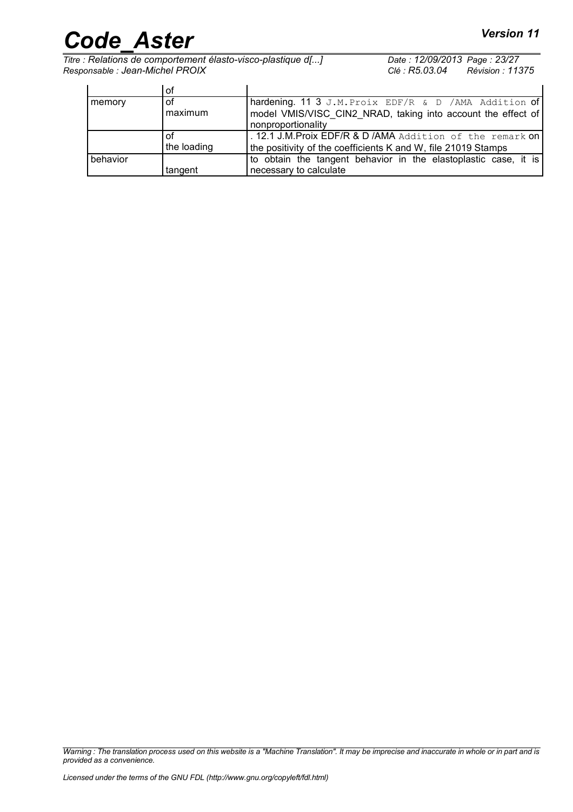# *Code\_Aster Version 11*<br> *Titre : Relations de comportement élasto-visco-plastique d[...]* Date : 12/09/2013 Page : 23/27

*Titre : Relations de comportement élasto-visco-plastique d[...] Date : 12/09/2013 Page : 23/27 Responsable : Jean-Michel PROIX Clé : R5.03.04 Révision : 11375*

|          | οt          |                                                                                    |
|----------|-------------|------------------------------------------------------------------------------------|
| memory   | оf          | hardening. 11 3 J.M. Proix EDF/R & D / AMA Addition of                             |
|          | maximum     | model VMIS/VISC CIN2 NRAD, taking into account the effect of<br>nonproportionality |
|          |             | 12.1 J.M. Proix EDF/R & D / AMA Addition of the remark on                          |
|          | the loading | the positivity of the coefficients K and W, file 21019 Stamps                      |
| behavior |             | to obtain the tangent behavior in the elastoplastic case, it is                    |
|          | tangent     | necessary to calculate                                                             |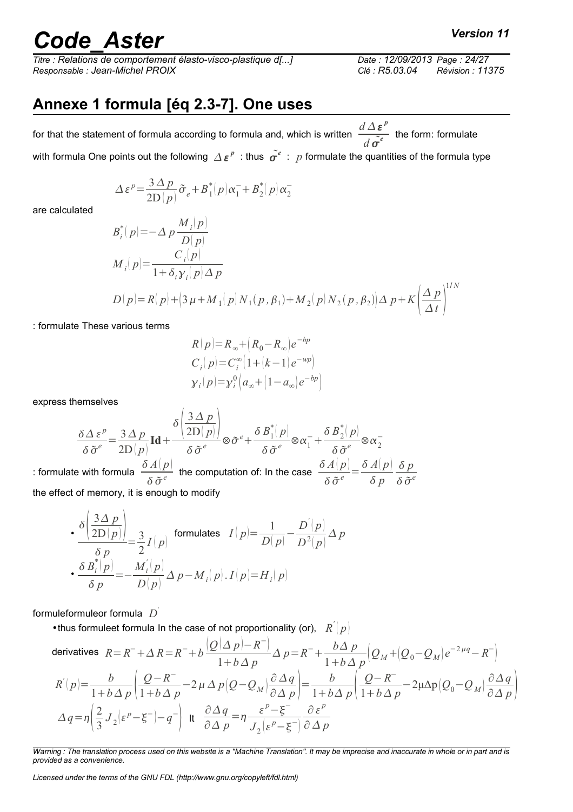*Titre : Relations de comportement élasto-visco-plastique d[...] Date : 12/09/2013 Page : 24/27 Responsable : Jean-Michel PROIX Clé : R5.03.04 Révision : 11375*

### <span id="page-23-0"></span>**Annexe 1 formula [éq 2.3-7]. One uses**

for that the statement of formula according to formula and, which is written  $\frac{d\Delta\boldsymbol{\varepsilon}^p}{dt}$  $\frac{d}{d} \overline{\tilde{\sigma}^e}$  the form: formulate with formula One points out the following  $\varDelta\,\bm{\varepsilon}^p\,$  : thus  $\,\tilde{\bm{\sigma}^e}\,$  :  $\,p$  formulate the quantities of the formula type

$$
\Delta \varepsilon^{p} = \frac{3 \Delta p}{2D(p)} \tilde{\sigma}_{e} + B_{1}^{*}(p) \alpha_{1}^{-} + B_{2}^{*}(p) \alpha_{2}^{-}
$$

are calculated

$$
B_i^*(p) = -\Delta p \frac{M_i(p)}{D(p)}
$$
  
\n
$$
M_i(p) = \frac{C_i(p)}{1 + \delta_i \gamma_i(p) \Delta p}
$$
  
\n
$$
D(p) = R(p) + (3 \mu + M_1(p) N_1(p, \beta_1) + M_2(p) N_2(p, \beta_2) ) \Delta p + K \left(\frac{\Delta p}{\Delta t}\right)^{1/N}
$$

: formulate These various terms

$$
R(p)=R_{\infty}+(R_0-R_{\infty})e^{-bp}
$$
  
\n
$$
C_i(p)=C_i^{\infty}(1+(k-1)e^{-wp})
$$
  
\n
$$
y_i(p)=y_i^0(a_{\infty}+(1-a_{\infty})e^{-bp})
$$

express themselves

$$
\frac{\delta \Delta \,\varepsilon^p}{\delta \,\tilde{\sigma}^e} = \frac{3 \,\Delta \, p}{2D\,|\,p|} \mathbf{Id} + \frac{\delta \left( \frac{3 \,\Delta \, p}{2D\,|\,p|} \right)}{\delta \,\tilde{\sigma}^e} \otimes \tilde{\sigma}^e + \frac{\delta \,B_1^* \,|\,p|}{\delta \,\tilde{\sigma}^e} \otimes \alpha_1^- + \frac{\delta \,B_2^* \,|\,p|}{\delta \,\tilde{\sigma}^e} \otimes \alpha_2^-
$$
\n
$$
\therefore \text{ formulate with formula } \frac{\delta \,A\,|\,p|}{\delta \,\tilde{\sigma}^e} \text{ the computation of: In the case } \frac{\delta \,A\,|\,p|}{\delta \,\tilde{\sigma}^e} = \frac{\delta \,A\,|\,p|}{\delta \,p} \frac{\delta \,p}{\delta \,\tilde{\sigma}^e}
$$

the effect of memory, it is enough to modify  $\mathbf{r}$ 

• 
$$
\frac{\delta \left( \frac{3\Delta p}{2D(p)} \right)}{\delta p} = \frac{3}{2} I(p)
$$
 formulas  $I(p) = \frac{1}{D(p)} - \frac{D'(p)}{D^2(p)} \Delta p$   
• 
$$
\frac{\delta B_i^*(p)}{\delta p} = -\frac{M_i'(p)}{D(p)} \Delta p - M_i(p) . I(p) = H_i(p)
$$

formuleformuleor formula *D* '

 $\overline{a}$ 

• thus formuleet formula In the case of not proportionality (or),  $R^{'}(p)$ 

derivatives 
$$
R = R^- + \Delta R = R^- + b \frac{(Q(\Delta p) - R^-)}{1 + b \Delta p} \Delta p = R^- + \frac{b \Delta p}{1 + b \Delta p} (Q_M + (Q_0 - Q_M)e^{-2\mu q} - R^-)
$$
  
\n
$$
R'(p) = \frac{b}{1 + b \Delta p} \left( \frac{Q - R^-}{1 + b \Delta p} - 2\mu \Delta p (Q - Q_M) \frac{\partial \Delta q}{\partial \Delta p} \right) = \frac{b}{1 + b \Delta p} \left( \frac{Q - R^-}{1 + b \Delta p} - 2\mu \Delta p (Q_0 - Q_M) \frac{\partial \Delta q}{\partial \Delta p} \right)
$$
\n
$$
\Delta q = \eta \left( \frac{2}{3} J_2(\varepsilon^p - \xi^-) - q^- \right) \text{ it } \frac{\partial \Delta q}{\partial \Delta p} = \eta \frac{\varepsilon^p - \xi^-}{J_2(\varepsilon^p - \xi^-)} \frac{\partial \varepsilon^p}{\partial \Delta p}
$$

*Warning : The translation process used on this website is a "Machine Translation". It may be imprecise and inaccurate in whole or in part and is provided as a convenience.*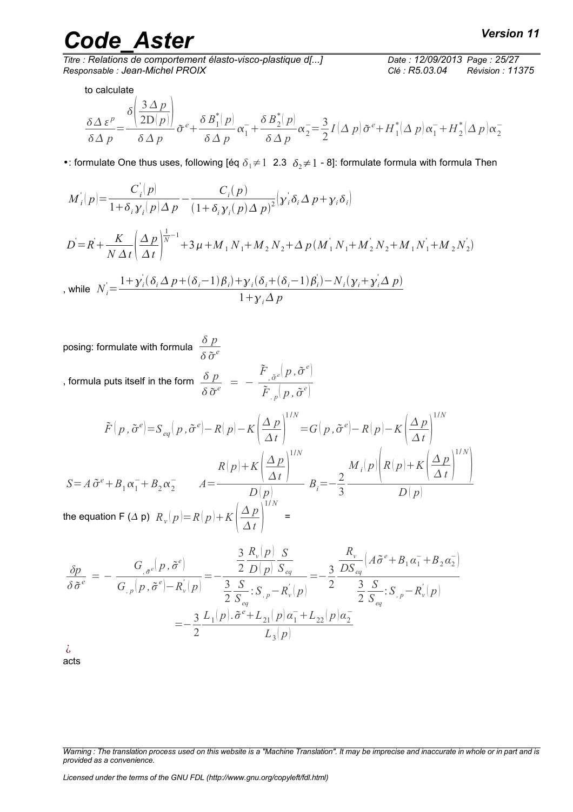*Titre : Relations de comportement élasto-visco-plastique d[...] Responsable : Jean-Michel PROIX Clé : R5.03.04 Révision : 11375*

to calculate

$$
\frac{\delta \Delta \,\varepsilon^p}{\delta \Delta \,p} = \frac{\delta \left( \frac{3 \Delta \, p}{2D(p)} \right)}{\delta \Delta \, p} \tilde{\sigma}^e + \frac{\delta \, B_1^*(p)}{\delta \Delta \, p} \alpha_1^- + \frac{\delta \, B_2^*(p)}{\delta \Delta \, p} \alpha_2^- = \frac{3}{2} I \left( \Delta \, p \right) \tilde{\sigma}^e + H_1^*(\Delta \, p) \alpha_1^- + H_2^*(\Delta \, p) \alpha_2^-
$$

•: formulate One thus uses, following [éq  $\delta_1 \neq 1$  2.3  $\delta_2 \neq 1$  - 8]: formulate formula with formula Then

$$
M'_{i}(p) = \frac{C'_{i}(p)}{1 + \delta_{i}\gamma_{i}(p)\Delta p} - \frac{C_{i}(p)}{(1 + \delta_{i}\gamma_{i}(p)\Delta p)^{2}} \Big(\gamma_{i}\delta_{i}\Delta p + \gamma_{i}\delta_{i}\Big)
$$
  

$$
D = R + \frac{K}{N\Delta t} \Big(\frac{\Delta p}{\Delta t}\Big)^{\frac{1}{N} - 1} + 3\mu + M_{1}N_{1} + M_{2}N_{2} + \Delta p(M'_{1}N_{1} + M'_{2}N_{2} + M_{1}N'_{1} + M_{2}N'_{2})
$$
  
, while 
$$
N'_{i} = \frac{1 + \gamma_{i}(\delta_{i}\Delta p + (\delta_{i} - 1)\beta_{i}) + \gamma_{i}(\delta_{i} + (\delta_{i} - 1)\beta_{i}) - N_{i}(\gamma_{i} + \gamma_{i}\Delta p)}{1 + \gamma_{i}\Delta p}
$$

posing: formulate with formula  $\frac{\delta p}{\delta p}$  $\delta \tilde{\sigma}^e$ 

, formula puts itself in the form  $\frac{\delta \; p}{\delta}$  $\frac{\partial p}{\partial \tilde{\sigma}^e}$  = - $\tilde{F}^{\vphantom{*}}_{\vphantom{*},\tilde{\sigma}^e}\!\!\left(p\,,\tilde{\sigma}^e\right)$  $\tilde{F}$   $_{,p}$   $\left( p$  ,  $\tilde{\sigma}^{e} \right)$ 

$$
\tilde{F}(p, \tilde{\sigma}^e) = S_{eq}(p, \tilde{\sigma}^e) - R(p) - K \left(\frac{\Delta p}{\Delta t}\right)^{1/N} = G(p, \tilde{\sigma}^e) - R(p) - K \left(\frac{\Delta p}{\Delta t}\right)^{1/N}
$$
\n
$$
S = A \tilde{\sigma}^e + B_1 \alpha_1^- + B_2 \alpha_2^- \qquad A = \frac{R(p) + K \left(\frac{\Delta p}{\Delta t}\right)^{1/N}}{D(p)} \qquad B_i = -\frac{2}{3} \frac{M_i(p) \left(R(p) + K \left(\frac{\Delta p}{\Delta t}\right)^{1/N}\right)}{D(p)}
$$
\nthe equation F ( \Delta p)  $R_v(p) = R(p) + K \left(\frac{\Delta p}{\Delta t}\right)^{1/N} =$ 

$$
\frac{\delta p}{\delta \tilde{\sigma}^e} = -\frac{G_{,\tilde{\sigma}^e}(p, \tilde{\sigma}^e)}{G_{,\,p}(p, \tilde{\sigma}^e) - R_{\nu}^{'}(p)} = -\frac{\frac{3}{2} \frac{R_{\nu}(p)}{D(p)} \frac{S}{S_{eq}}}{\frac{3}{2} \frac{S}{S_{eq}} : S_{,\,p} - R_{\nu}^{'}(p)} = -\frac{3}{2} \frac{\frac{R_{\nu}}{D S_{eq}} \left(A \tilde{\sigma}^e + B_1 \alpha_1^- + B_2 \alpha_2^-\right)}{\frac{3}{2} \frac{S}{S_{eq}} : S_{,\,p} - R_{\nu}^{'}(p)} = -\frac{3}{2} \frac{L_1(p) \cdot \tilde{\sigma}^e + L_{21}(p) \alpha_1^- + L_{22}(p) \alpha_2^-}{L_3(p)}
$$

¿ acts

*Warning : The translation process used on this website is a "Machine Translation". It may be imprecise and inaccurate in whole or in part and is provided as a convenience.*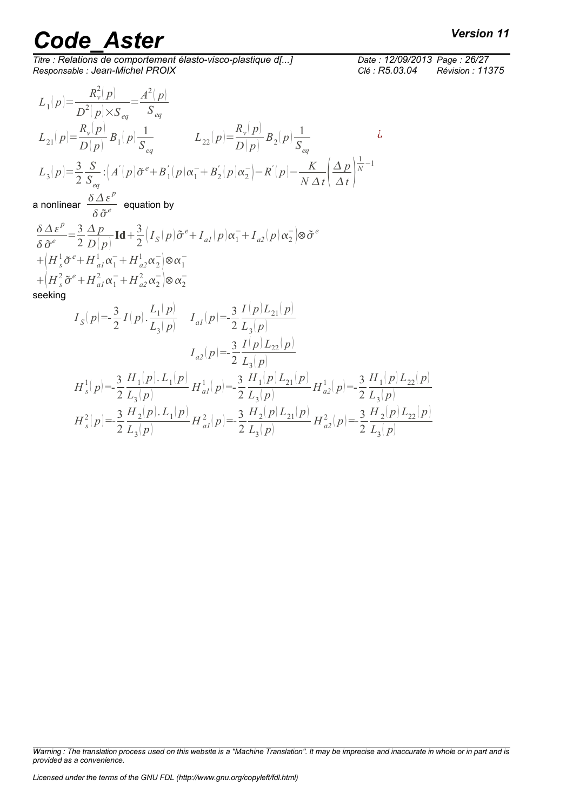*Titre : Relations de comportement élasto-visco-plastique d[...] Date : 12/09/2013 Page : 26/27 Responsable : Jean-Michel PROIX Clé : R5.03.04 Révision : 11375*

$$
\frac{e:12/09/2013 \text{ Page}:26/27}{P5.23.24 \text{ Page}:26/27}
$$

$$
L_1(p) = \frac{R_v^2(p)}{D^2(p) \times S_{eq}} = \frac{A^2(p)}{S_{eq}}
$$
  
\n
$$
L_{21}(p) = \frac{R_v(p)}{D(p)} B_1(p) \frac{1}{S_{eq}}
$$
  
\n
$$
L_{22}(p) = \frac{R_v(p)}{D(p)} B_2(p) \frac{1}{S_{eq}}
$$
  
\n
$$
L_3(p) = \frac{3}{2} \frac{S}{S_{eq}} : (A'(p)\tilde{\sigma}^e + B_1'(p)\alpha_1^- + B_2'(p)\alpha_2^-) - R'(p) - \frac{K}{N\Delta t} \left(\frac{\Delta p}{\Delta t}\right)^{\frac{1}{N} - 1}
$$
  
\na nonlinear  $\frac{\delta \Delta \varepsilon^p}{\delta \tilde{\sigma}^e}$  equation by

 $\delta \Delta \varepsilon^p$  $rac{\delta \Delta \varepsilon^p}{\delta \tilde{\sigma}^e} = \frac{3}{2}$ 2 *Δ p*  $D(p)$  $Id + \frac{3}{2}$  $\frac{\partial}{\partial 2} \Big( I_S(p) \tilde{\sigma}^e + I_{al}(p) \alpha_1^- + I_{al}(p) \alpha_2^- \Big) \otimes \tilde{\sigma}^e$  $+ (H_s^1 \tilde{\sigma}^e + H_{al}^1 \alpha_1^- + H_{a2}^1 \alpha_2^-) \otimes \alpha_1^ +\left(H_s^2 \tilde{\sigma}^e + H_{al}^2 \alpha_1^- + H_{al}^2 \alpha_2^-\right) \otimes \alpha_2^$ seeking

$$
I_{S}(p) = -\frac{3}{2} I(p) \cdot \frac{L_{1}(p)}{L_{3}(p)} \qquad I_{a1}(p) = -\frac{3}{2} \frac{I(p)L_{21}(p)}{L_{3}(p)}
$$
  
\n
$$
I_{a2}(p) = -\frac{3}{2} \frac{I(p)L_{22}(p)}{L_{3}(p)}
$$
  
\n
$$
H_{s}^{1}(p) = -\frac{3}{2} \frac{H_{1}(p) \cdot L_{1}(p)}{L_{3}(p)} H_{a1}^{1}(p) = -\frac{3}{2} \frac{H_{1}(p)L_{21}(p)}{L_{3}(p)} H_{a2}^{1}(p) = -\frac{3}{2} \frac{H_{1}(p)L_{22}(p)}{L_{3}(p)}
$$
  
\n
$$
H_{s}^{2}(p) = -\frac{3}{2} \frac{H_{2}(p) \cdot L_{1}(p)}{L_{3}(p)} H_{a1}^{2}(p) = -\frac{3}{2} \frac{H_{2}(p)L_{21}(p)}{L_{3}(p)} H_{a2}^{2}(p) = -\frac{3}{2} \frac{H_{2}(p)L_{22}(p)}{L_{3}(p)}
$$

*Warning : The translation process used on this website is a "Machine Translation". It may be imprecise and inaccurate in whole or in part and is provided as a convenience.*